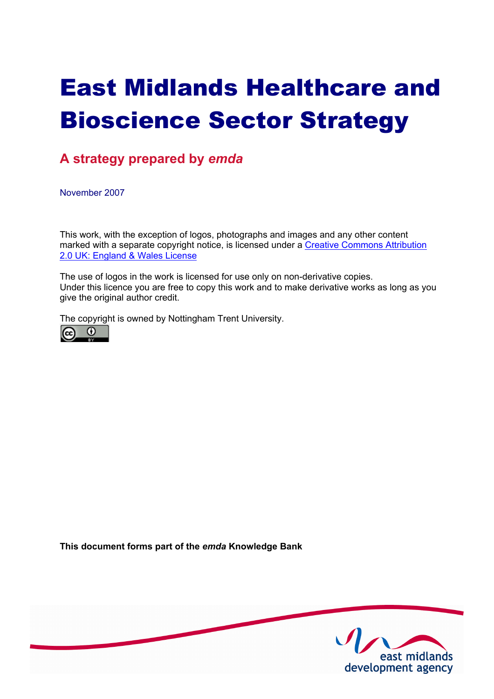# East Midlands Healthcare and Bioscience Sector Strategy

# **A strategy prepared by** *emda*

November 2007

This work, with the exception of logos, photographs and images and any other content [marked with a separate copyright notice, is licensed under a Creative Commons Attribution](http://creativecommons.org./licenses/by/2.0/uk/) 2.0 UK: England & Wales License

The use of logos in the work is licensed for use only on non-derivative copies. Under this licence you are free to copy this work and to make derivative works as long as you give the original author credit.

The copyright is owned by Nottingham Trent University.



**This document forms part of the** *emda* **Knowledge Bank** 

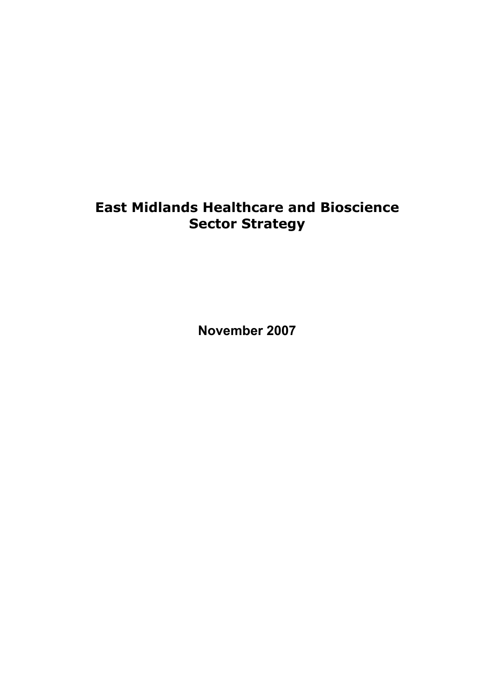# **East Midlands Healthcare and Bioscience Sector Strategy**

**November 2007**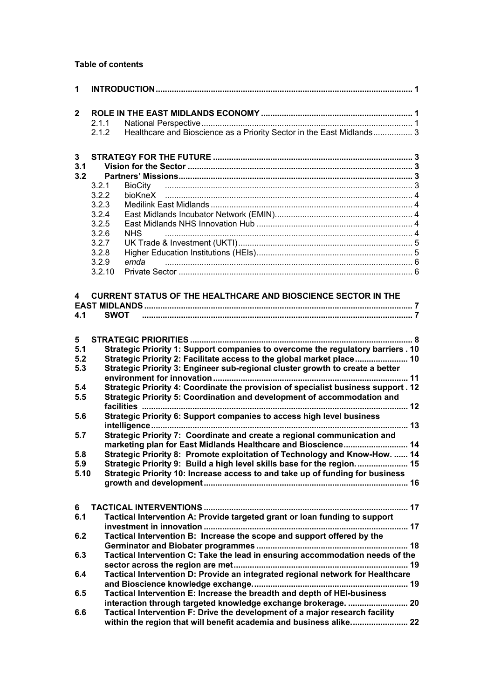# **Table of contents**

| $\mathbf{1}$ |             |                                                                                                                                                               |  |
|--------------|-------------|---------------------------------------------------------------------------------------------------------------------------------------------------------------|--|
| $\mathbf{2}$ |             |                                                                                                                                                               |  |
|              | 2.1.1       |                                                                                                                                                               |  |
|              | 2.1.2       | Healthcare and Bioscience as a Priority Sector in the East Midlands 3                                                                                         |  |
|              |             |                                                                                                                                                               |  |
| 3            |             |                                                                                                                                                               |  |
| 3.1          |             |                                                                                                                                                               |  |
| 3.2          |             |                                                                                                                                                               |  |
|              | 3.2.1       | BioCity                                                                                                                                                       |  |
|              | 3.2.2       |                                                                                                                                                               |  |
|              | 3.2.3       |                                                                                                                                                               |  |
|              | 3.2.4       |                                                                                                                                                               |  |
|              | 3.2.5       |                                                                                                                                                               |  |
|              | 3.2.6       | <b>NHS</b>                                                                                                                                                    |  |
|              | 3.2.7       |                                                                                                                                                               |  |
|              | 3.2.8       |                                                                                                                                                               |  |
|              | 3.2.9       | emda                                                                                                                                                          |  |
|              | 3.2.10      |                                                                                                                                                               |  |
|              |             |                                                                                                                                                               |  |
| 4            |             | <b>CURRENT STATUS OF THE HEALTHCARE AND BIOSCIENCE SECTOR IN THE</b>                                                                                          |  |
|              |             |                                                                                                                                                               |  |
| 4.1          | <b>SWOT</b> |                                                                                                                                                               |  |
|              |             |                                                                                                                                                               |  |
|              |             |                                                                                                                                                               |  |
| 5<br>5.1     |             |                                                                                                                                                               |  |
| 5.2          |             | Strategic Priority 1: Support companies to overcome the regulatory barriers . 10                                                                              |  |
|              |             | Strategic Priority 2: Facilitate access to the global market place 10                                                                                         |  |
| 5.3          |             | Strategic Priority 3: Engineer sub-regional cluster growth to create a better                                                                                 |  |
|              |             |                                                                                                                                                               |  |
| 5.4<br>5.5   |             | Strategic Priority 4: Coordinate the provision of specialist business support . 12<br>Strategic Priority 5: Coordination and development of accommodation and |  |
|              |             |                                                                                                                                                               |  |
| 5.6          |             | Strategic Priority 6: Support companies to access high level business                                                                                         |  |
| 5.7          |             | Strategic Priority 7: Coordinate and create a regional communication and                                                                                      |  |
|              |             | marketing plan for East Midlands Healthcare and Bioscience 14                                                                                                 |  |
| 5.8          |             | Strategic Priority 8: Promote exploitation of Technology and Know-How.  14                                                                                    |  |
| 5.9          |             | Strategic Priority 9: Build a high level skills base for the region 15                                                                                        |  |
| 5.10         |             | Strategic Priority 10: Increase access to and take up of funding for business                                                                                 |  |
|              |             |                                                                                                                                                               |  |
|              |             |                                                                                                                                                               |  |
| 6            |             |                                                                                                                                                               |  |
| 6.1          |             | Tactical Intervention A: Provide targeted grant or loan funding to support                                                                                    |  |
|              |             |                                                                                                                                                               |  |
| 6.2          |             | Tactical Intervention B: Increase the scope and support offered by the                                                                                        |  |
|              |             |                                                                                                                                                               |  |
|              |             |                                                                                                                                                               |  |
| 6.3          |             | Tactical Intervention C: Take the lead in ensuring accommodation needs of the                                                                                 |  |
|              |             | ……… 19                                                                                                                                                        |  |
| 6.4          |             | Tactical Intervention D: Provide an integrated regional network for Healthcare                                                                                |  |
|              |             |                                                                                                                                                               |  |
| 6.5          |             | Tactical Intervention E: Increase the breadth and depth of HEI-business                                                                                       |  |
|              |             | interaction through targeted knowledge exchange brokerage.  20                                                                                                |  |
| 6.6          |             | Tactical Intervention F: Drive the development of a major research facility                                                                                   |  |
|              |             | within the region that will benefit academia and business alike 22                                                                                            |  |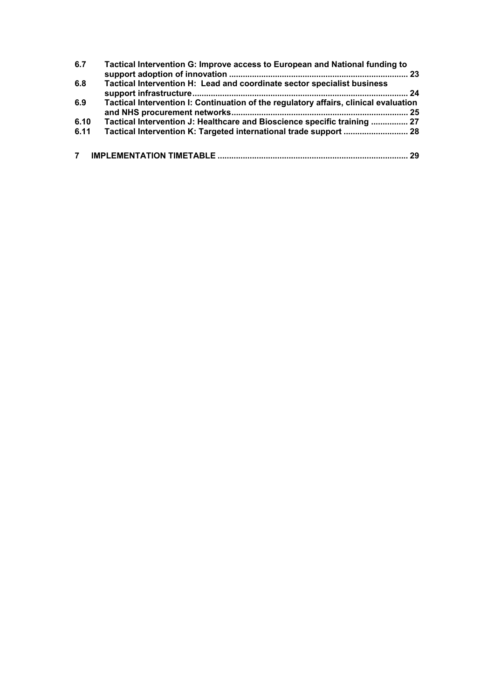| 6.7  | Tactical Intervention G: Improve access to European and National funding to          |    |
|------|--------------------------------------------------------------------------------------|----|
|      |                                                                                      |    |
| 6.8  | Tactical Intervention H: Lead and coordinate sector specialist business              |    |
|      |                                                                                      |    |
| 6.9  | Tactical Intervention I: Continuation of the regulatory affairs, clinical evaluation |    |
|      |                                                                                      |    |
| 6.10 | Tactical Intervention J: Healthcare and Bioscience specific training  27             |    |
| 6.11 |                                                                                      |    |
| 7    |                                                                                      | 29 |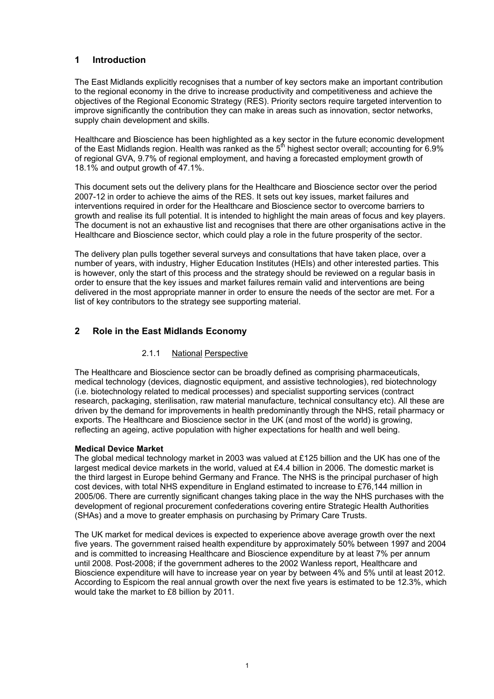# **1 Introduction**

The East Midlands explicitly recognises that a number of key sectors make an important contribution to the regional economy in the drive to increase productivity and competitiveness and achieve the objectives of the Regional Economic Strategy (RES). Priority sectors require targeted intervention to improve significantly the contribution they can make in areas such as innovation, sector networks, supply chain development and skills.

Healthcare and Bioscience has been highlighted as a key sector in the future economic development of the East Midlands region. Health was ranked as the  $5<sup>th</sup>$  highest sector overall; accounting for 6.9% of regional GVA, 9.7% of regional employment, and having a forecasted employment growth of 18.1% and output growth of 47.1%.

This document sets out the delivery plans for the Healthcare and Bioscience sector over the period 2007-12 in order to achieve the aims of the RES. It sets out key issues, market failures and interventions required in order for the Healthcare and Bioscience sector to overcome barriers to growth and realise its full potential. It is intended to highlight the main areas of focus and key players. The document is not an exhaustive list and recognises that there are other organisations active in the Healthcare and Bioscience sector, which could play a role in the future prosperity of the sector.

The delivery plan pulls together several surveys and consultations that have taken place, over a number of years, with industry, Higher Education Institutes (HEIs) and other interested parties. This is however, only the start of this process and the strategy should be reviewed on a regular basis in order to ensure that the key issues and market failures remain valid and interventions are being delivered in the most appropriate manner in order to ensure the needs of the sector are met. For a list of key contributors to the strategy see supporting material.

# **2 Role in the East Midlands Economy**

# 2.1.1 National Perspective

The Healthcare and Bioscience sector can be broadly defined as comprising pharmaceuticals, medical technology (devices, diagnostic equipment, and assistive technologies), red biotechnology (i.e. biotechnology related to medical processes) and specialist supporting services (contract research, packaging, sterilisation, raw material manufacture, technical consultancy etc). All these are driven by the demand for improvements in health predominantly through the NHS, retail pharmacy or exports. The Healthcare and Bioscience sector in the UK (and most of the world) is growing, reflecting an ageing, active population with higher expectations for health and well being.

# **Medical Device Market**

The global medical technology market in 2003 was valued at £125 billion and the UK has one of the largest medical device markets in the world, valued at £4.4 billion in 2006. The domestic market is the third largest in Europe behind Germany and France. The NHS is the principal purchaser of high cost devices, with total NHS expenditure in England estimated to increase to £76,144 million in 2005/06. There are currently significant changes taking place in the way the NHS purchases with the development of regional procurement confederations covering entire Strategic Health Authorities (SHAs) and a move to greater emphasis on purchasing by Primary Care Trusts.

The UK market for medical devices is expected to experience above average growth over the next five years. The government raised health expenditure by approximately 50% between 1997 and 2004 and is committed to increasing Healthcare and Bioscience expenditure by at least 7% per annum until 2008. Post-2008; if the government adheres to the 2002 Wanless report, Healthcare and Bioscience expenditure will have to increase year on year by between 4% and 5% until at least 2012. According to Espicom the real annual growth over the next five years is estimated to be 12.3%, which would take the market to £8 billion by 2011.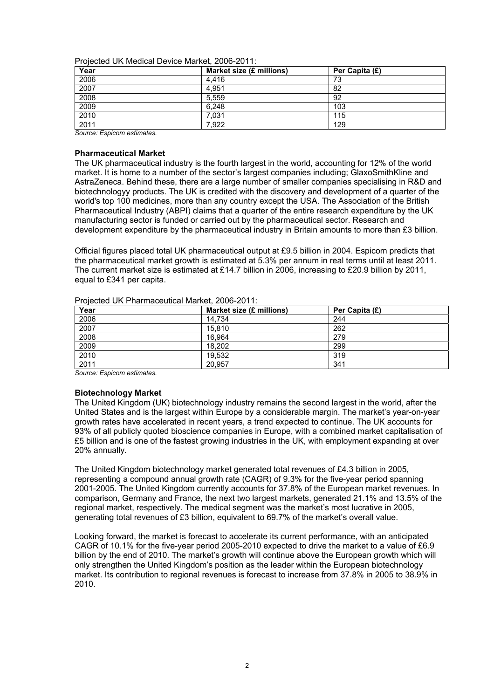Projected UK Medical Device Market, 2006-2011:

| $\sim$<br>Year | Market size (£ millions) | Per Capita (£) |
|----------------|--------------------------|----------------|
| 2006           | 4.416                    | 73             |
| 2007           | 4.951                    | 82             |
| 2008           | 5,559                    | 92             |
| 2009           | 6,248                    | 103            |
| 2010           | 7.031                    | 115            |
| 2011           | 7.922                    | 129            |

*Source: Espicom estimates.*

# **Pharmaceutical Market**

The UK pharmaceutical industry is the fourth largest in the world, accounting for 12% of the world market. It is home to a number of the sector's largest companies including; GlaxoSmithKline and AstraZeneca. Behind these, there are a large number of smaller companies specialising in R&D and biotechnologyy products. The UK is credited with the discovery and development of a quarter of the world's top 100 medicines, more than any country except the USA. The Association of the British Pharmaceutical Industry (ABPI) claims that a quarter of the entire research expenditure by the UK manufacturing sector is funded or carried out by the pharmaceutical sector. Research and development expenditure by the pharmaceutical industry in Britain amounts to more than £3 billion.

Official figures placed total UK pharmaceutical output at £9.5 billion in 2004. Espicom predicts that the pharmaceutical market growth is estimated at 5.3% per annum in real terms until at least 2011. The current market size is estimated at £14.7 billion in 2006, increasing to £20.9 billion by 2011, equal to £341 per capita.

| Year | Market size (£ millions) | Per Capita (£) |
|------|--------------------------|----------------|
| 2006 | 14.734                   | 244            |
| 2007 | 15.810                   | 262            |
| 2008 | 16.964                   | 279            |
| 2009 | 18,202                   | 299            |
| 2010 | 19,532                   | 319            |
| 2011 | 20.957                   | 341            |

Projected UK Pharmaceutical Market, 2006-2011:

*Source: Espicom estimates.*

# **Biotechnology Market**

The United Kingdom (UK) biotechnology industry remains the second largest in the world, after the United States and is the largest within Europe by a considerable margin. The market's year-on-year growth rates have accelerated in recent years, a trend expected to continue. The UK accounts for 93% of all publicly quoted bioscience companies in Europe, with a combined market capitalisation of £5 billion and is one of the fastest growing industries in the UK, with employment expanding at over 20% annually.

The United Kingdom biotechnology market generated total revenues of £4.3 billion in 2005, representing a compound annual growth rate (CAGR) of 9.3% for the five-year period spanning 2001-2005. The United Kingdom currently accounts for 37.8% of the European market revenues. In comparison, Germany and France, the next two largest markets, generated 21.1% and 13.5% of the regional market, respectively. The medical segment was the market's most lucrative in 2005, generating total revenues of £3 billion, equivalent to 69.7% of the market's overall value.

Looking forward, the market is forecast to accelerate its current performance, with an anticipated CAGR of 10.1% for the five-year period 2005-2010 expected to drive the market to a value of £6.9 billion by the end of 2010. The market's growth will continue above the European growth which will only strengthen the United Kingdom's position as the leader within the European biotechnology market. Its contribution to regional revenues is forecast to increase from 37.8% in 2005 to 38.9% in 2010.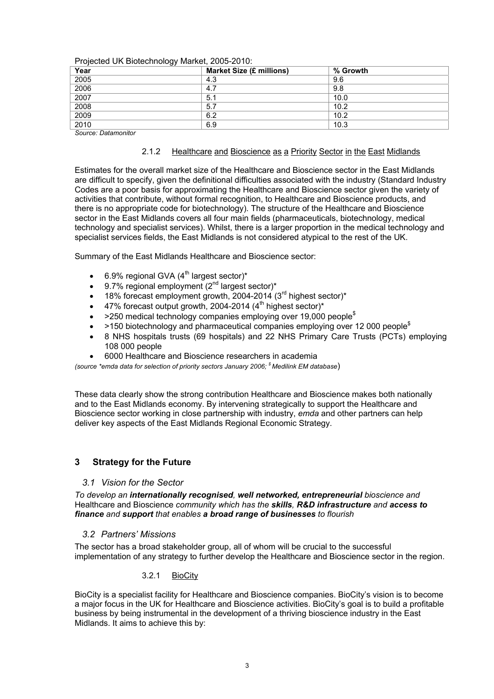|  | Projected UK Biotechnology Market, 2005-2010: |  |
|--|-----------------------------------------------|--|
|  |                                               |  |

| Year | ັ<br><b>Market Size (£ millions)</b> | % Growth |  |
|------|--------------------------------------|----------|--|
| 2005 | 4.3                                  | 9.6      |  |
| 2006 | 4.7                                  | 9.8      |  |
| 2007 | 5.1                                  | 10.0     |  |
| 2008 | 5.7                                  | 10.2     |  |
| 2009 | 6.2                                  | 10.2     |  |
| 2010 | 6.9                                  | 10.3     |  |

*Source: Datamonitor* 

# 2.1.2 Healthcare and Bioscience as a Priority Sector in the East Midlands

Estimates for the overall market size of the Healthcare and Bioscience sector in the East Midlands are difficult to specify, given the definitional difficulties associated with the industry (Standard Industry Codes are a poor basis for approximating the Healthcare and Bioscience sector given the variety of activities that contribute, without formal recognition, to Healthcare and Bioscience products, and there is no appropriate code for biotechnology). The structure of the Healthcare and Bioscience sector in the East Midlands covers all four main fields (pharmaceuticals, biotechnology, medical technology and specialist services). Whilst, there is a larger proportion in the medical technology and specialist services fields, the East Midlands is not considered atypical to the rest of the UK.

Summary of the East Midlands Healthcare and Bioscience sector:

- 6.9% regional GVA ( $4<sup>th</sup>$  largest sector)\*
- 9.7% regional employment (2<sup>nd</sup> largest sector)\*
- 18% forecast employment growth, 2004-2014 (3<sup>rd</sup> highest sector)<sup>\*</sup>
- 47% forecast output growth, 2004-2014 (4<sup>th</sup> highest sector)\*
- >250 medical technology companies employing over 19,000 people\$
- $>$ 150 biotechnology and pharmaceutical companies employing over 12 000 people<sup>\$</sup>
- 8 NHS hospitals trusts (69 hospitals) and 22 NHS Primary Care Trusts (PCTs) employing 108 000 people
- 6000 Healthcare and Bioscience researchers in academia

*(source \*emda data for selection of priority sectors January 2006; \$ Medilink EM database*)

These data clearly show the strong contribution Healthcare and Bioscience makes both nationally and to the East Midlands economy. By intervening strategically to support the Healthcare and Bioscience sector working in close partnership with industry, *emda* and other partners can help deliver key aspects of the East Midlands Regional Economic Strategy.

# **3 Strategy for the Future**

# *3.1 Vision for the Sector*

*To develop an internationally recognised, well networked, entrepreneurial bioscience and*  Healthcare and Bioscience *community which has the skills, R&D infrastructure and access to finance and support that enables a broad range of businesses to flourish* 

# *3.2 Partners' Missions*

The sector has a broad stakeholder group, all of whom will be crucial to the successful implementation of any strategy to further develop the Healthcare and Bioscience sector in the region.

# 3.2.1 BioCity

BioCity is a specialist facility for Healthcare and Bioscience companies. BioCity's vision is to become a major focus in the UK for Healthcare and Bioscience activities. BioCity's goal is to build a profitable business by being instrumental in the development of a thriving bioscience industry in the East Midlands. It aims to achieve this by: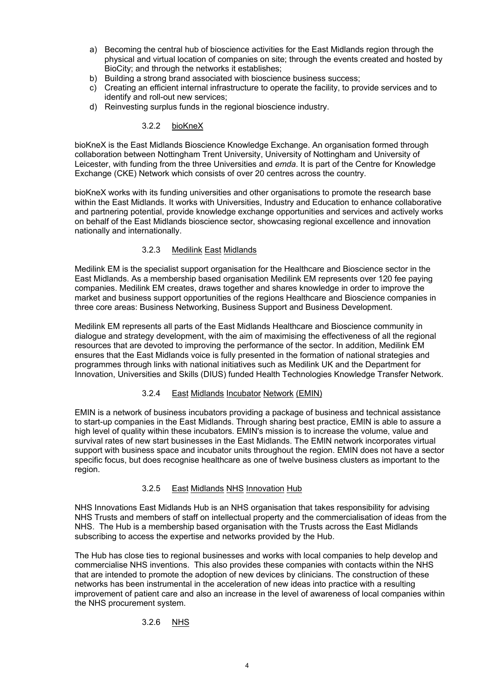- a) Becoming the central hub of bioscience activities for the East Midlands region through the physical and virtual location of companies on site; through the events created and hosted by BioCity; and through the networks it establishes;
- b) Building a strong brand associated with bioscience business success;
- c) Creating an efficient internal infrastructure to operate the facility, to provide services and to identify and roll-out new services;
- d) Reinvesting surplus funds in the regional bioscience industry.

# 3.2.2 bioKneX

bioKneX is the East Midlands Bioscience Knowledge Exchange. An organisation formed through collaboration between Nottingham Trent University, University of Nottingham and University of Leicester, with funding from the three Universities and *emda*. It is part of the Centre for Knowledge Exchange (CKE) Network which consists of over 20 centres across the country.

bioKneX works with its funding universities and other organisations to promote the research base within the East Midlands. It works with Universities, Industry and Education to enhance collaborative and partnering potential, provide knowledge exchange opportunities and services and actively works on behalf of the East Midlands bioscience sector, showcasing regional excellence and innovation nationally and internationally.

# 3.2.3 Medilink East Midlands

Medilink EM is the specialist support organisation for the Healthcare and Bioscience sector in the East Midlands. As a membership based organisation Medilink EM represents over 120 fee paying companies. Medilink EM creates, draws together and shares knowledge in order to improve the market and business support opportunities of the regions Healthcare and Bioscience companies in three core areas: Business Networking, Business Support and Business Development.

Medilink EM represents all parts of the East Midlands Healthcare and Bioscience community in dialogue and strategy development, with the aim of maximising the effectiveness of all the regional resources that are devoted to improving the performance of the sector. In addition, Medilink EM ensures that the East Midlands voice is fully presented in the formation of national strategies and programmes through links with national initiatives such as Medilink UK and the Department for Innovation, Universities and Skills (DIUS) funded Health Technologies Knowledge Transfer Network.

# 3.2.4 East Midlands Incubator Network (EMIN)

EMIN is a network of business incubators providing a package of business and technical assistance to start-up companies in the East Midlands. Through sharing best practice, EMIN is able to assure a high level of quality within these incubators. EMIN's mission is to increase the volume, value and survival rates of new start businesses in the East Midlands. The EMIN network incorporates virtual support with business space and incubator units throughout the region. EMIN does not have a sector specific focus, but does recognise healthcare as one of twelve business clusters as important to the region.

# 3.2.5 East Midlands NHS Innovation Hub

NHS Innovations East Midlands Hub is an NHS organisation that takes responsibility for advising NHS Trusts and members of staff on intellectual property and the commercialisation of ideas from the NHS. The Hub is a membership based organisation with the Trusts across the East Midlands subscribing to access the expertise and networks provided by the Hub.

The Hub has close ties to regional businesses and works with local companies to help develop and commercialise NHS inventions. This also provides these companies with contacts within the NHS that are intended to promote the adoption of new devices by clinicians. The construction of these networks has been instrumental in the acceleration of new ideas into practice with a resulting improvement of patient care and also an increase in the level of awareness of local companies within the NHS procurement system.

# 3.2.6 NHS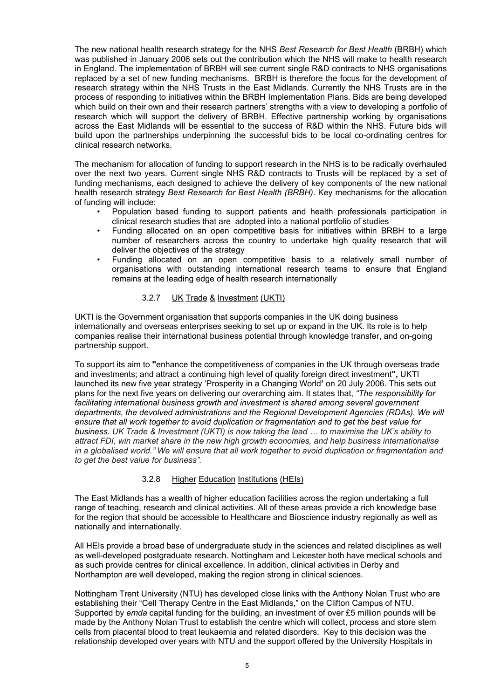The new national health research strategy for the NHS *Best Research for Best Health* (BRBH) which was published in January 2006 sets out the contribution which the NHS will make to health research in England. The implementation of BRBH will see current single R&D contracts to NHS organisations replaced by a set of new funding mechanisms. BRBH is therefore the focus for the development of research strategy within the NHS Trusts in the East Midlands. Currently the NHS Trusts are in the process of responding to initiatives within the BRBH Implementation Plans. Bids are being developed which build on their own and their research partners' strengths with a view to developing a portfolio of research which will support the delivery of BRBH. Effective partnership working by organisations across the East Midlands will be essential to the success of R&D within the NHS. Future bids will build upon the partnerships underpinning the successful bids to be local co-ordinating centres for clinical research networks.

The mechanism for allocation of funding to support research in the NHS is to be radically overhauled over the next two years. Current single NHS R&D contracts to Trusts will be replaced by a set of funding mechanisms, each designed to achieve the delivery of key components of the new national health research strategy *Best Research for Best Health (BRBH)*. Key mechanisms for the allocation of funding will include:

- Population based funding to support patients and health professionals participation in clinical research studies that are adopted into a national portfolio of studies
- Funding allocated on an open competitive basis for initiatives within BRBH to a large number of researchers across the country to undertake high quality research that will deliver the objectives of the strategy
- Funding allocated on an open competitive basis to a relatively small number of organisations with outstanding international research teams to ensure that England remains at the leading edge of health research internationally

# 3.2.7 UK Trade & Investment (UKTI)

UKTI is the Government organisation that supports companies in the UK doing business internationally and overseas enterprises seeking to set up or expand in the UK. Its role is to help companies realise their international business potential through knowledge transfer, and on-going partnership support.

To support its aim to **"**enhance the competitiveness of companies in the UK through overseas trade and investments; and attract a continuing high level of quality foreign direct investment**",** UKTI launched its new five year strategy 'Prosperity in a Changing World**'** on 20 July 2006. This sets out plans for the next five years on delivering our overarching aim. It states that, *"The responsibility for facilitating international business growth and investment is shared among several government departments, the devolved administrations and the Regional Development Agencies (RDAs). We will ensure that all work together to avoid duplication or fragmentation and to get the best value for business. UK Trade & Investment (UKTI) is now taking the lead … to maximise the UK's ability to attract FDI, win market share in the new high growth economies, and help business internationalise in a globalised world." We will ensure that all work together to avoid duplication or fragmentation and to get the best value for business".*

# 3.2.8 Higher Education Institutions (HEIs)

The East Midlands has a wealth of higher education facilities across the region undertaking a full range of teaching, research and clinical activities. All of these areas provide a rich knowledge base for the region that should be accessible to Healthcare and Bioscience industry regionally as well as nationally and internationally.

All HEIs provide a broad base of undergraduate study in the sciences and related disciplines as well as well-developed postgraduate research. Nottingham and Leicester both have medical schools and as such provide centres for clinical excellence. In addition, clinical activities in Derby and Northampton are well developed, making the region strong in clinical sciences.

Nottingham Trent University (NTU) has developed close links with the Anthony Nolan Trust who are establishing their "Cell Therapy Centre in the East Midlands," on the Clifton Campus of NTU. Supported by *emda* capital funding for the building, an investment of over £5 million pounds will be made by the Anthony Nolan Trust to establish the centre which will collect, process and store stem cells from placental blood to treat leukaemia and related disorders. Key to this decision was the relationship developed over years with NTU and the support offered by the University Hospitals in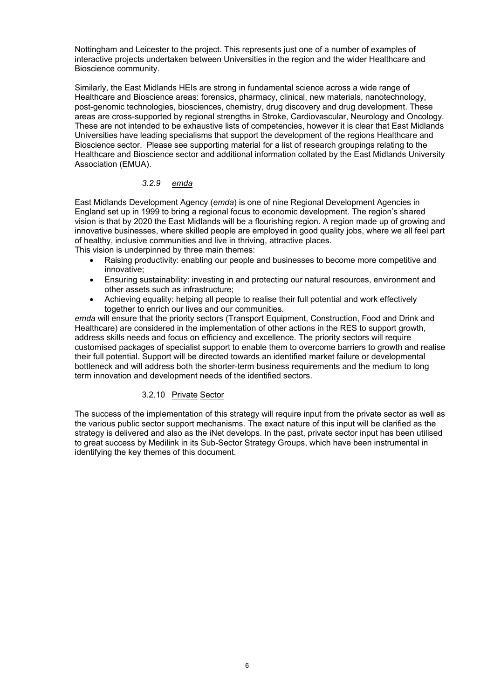Nottingham and Leicester to the project. This represents just one of a number of examples of interactive projects undertaken between Universities in the region and the wider Healthcare and Bioscience community.

Similarly, the East Midlands HEIs are strong in fundamental science across a wide range of Healthcare and Bioscience areas: forensics, pharmacy, clinical, new materials, nanotechnology, post-genomic technologies, biosciences, chemistry, drug discovery and drug development. These areas are cross-supported by regional strengths in Stroke, Cardiovascular, Neurology and Oncology. These are not intended to be exhaustive lists of competencies, however it is clear that East Midlands Universities have leading specialisms that support the development of the regions Healthcare and Bioscience sector. Please see supporting material for a list of research groupings relating to the Healthcare and Bioscience sector and additional information collated by the East Midlands University Association (EMUA).

# *3.2.9 emda*

East Midlands Development Agency (*emda*) is one of nine Regional Development Agencies in England set up in 1999 to bring a regional focus to economic development. The region's shared vision is that by 2020 the East Midlands will be a flourishing region. A region made up of growing and innovative businesses, where skilled people are employed in good quality jobs, where we all feel part of healthy, inclusive communities and live in thriving, attractive places. This vision is underpinned by three main themes:

- Raising productivity: enabling our people and businesses to become more competitive and innovative;
- Ensuring sustainability: investing in and protecting our natural resources, environment and other assets such as infrastructure;
- Achieving equality: helping all people to realise their full potential and work effectively together to enrich our lives and our communities.

*emda* will ensure that the priority sectors (Transport Equipment, Construction, Food and Drink and Healthcare) are considered in the implementation of other actions in the RES to support growth, address skills needs and focus on efficiency and excellence. The priority sectors will require customised packages of specialist support to enable them to overcome barriers to growth and realise their full potential. Support will be directed towards an identified market failure or developmental bottleneck and will address both the shorter-term business requirements and the medium to long term innovation and development needs of the identified sectors.

# 3.2.10 Private Sector

The success of the implementation of this strategy will require input from the private sector as well as the various public sector support mechanisms. The exact nature of this input will be clarified as the strategy is delivered and also as the iNet develops. In the past, private sector input has been utilised to great success by Medilink in its Sub-Sector Strategy Groups, which have been instrumental in identifying the key themes of this document.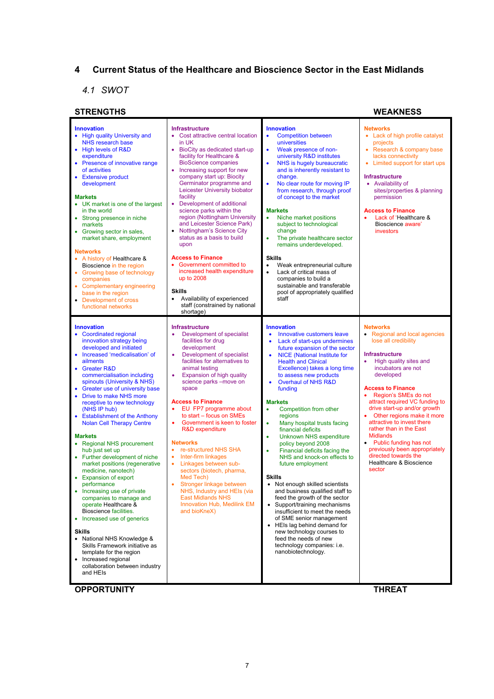# **4 Current Status of the Healthcare and Bioscience Sector in the East Midlands**

# *4.1 SWOT*

| <b>STRENGTHS</b>                                                                                                                                                                                                                                                                                                                                                                                                                                                                                                                                                                                                                                                                                                                                                                                                                                                                                                                                                                |                                                                                                                                                                                                                                                                                                                                                                                                                                                                                                                                                                                                                                                                                                                                            |                                                                                                                                                                                                                                                                                                                                                                                                                                                                                                                                                                                                                                                                                                                                                                                                                                                                                                                                                                                                     | <b>WEAKNESS</b>                                                                                                                                                                                                                                                                                                                                                                                                                                                                                                                                    |
|---------------------------------------------------------------------------------------------------------------------------------------------------------------------------------------------------------------------------------------------------------------------------------------------------------------------------------------------------------------------------------------------------------------------------------------------------------------------------------------------------------------------------------------------------------------------------------------------------------------------------------------------------------------------------------------------------------------------------------------------------------------------------------------------------------------------------------------------------------------------------------------------------------------------------------------------------------------------------------|--------------------------------------------------------------------------------------------------------------------------------------------------------------------------------------------------------------------------------------------------------------------------------------------------------------------------------------------------------------------------------------------------------------------------------------------------------------------------------------------------------------------------------------------------------------------------------------------------------------------------------------------------------------------------------------------------------------------------------------------|-----------------------------------------------------------------------------------------------------------------------------------------------------------------------------------------------------------------------------------------------------------------------------------------------------------------------------------------------------------------------------------------------------------------------------------------------------------------------------------------------------------------------------------------------------------------------------------------------------------------------------------------------------------------------------------------------------------------------------------------------------------------------------------------------------------------------------------------------------------------------------------------------------------------------------------------------------------------------------------------------------|----------------------------------------------------------------------------------------------------------------------------------------------------------------------------------------------------------------------------------------------------------------------------------------------------------------------------------------------------------------------------------------------------------------------------------------------------------------------------------------------------------------------------------------------------|
| <b>Innovation</b><br>• High quality University and<br><b>NHS research base</b><br>• High levels of R&D<br>expenditure<br>• Presence of innovative range<br>of activities<br><b>Extensive product</b><br>٠<br>development<br><b>Markets</b><br>• UK market is one of the largest<br>in the world<br>• Strong presence in niche<br>markets<br>• Growing sector in sales,<br>market share, employment<br><b>Networks</b><br>• A history of Healthcare &<br>Bioscience in the region<br>• Growing base of technology<br>companies<br><b>Complementary engineering</b><br>٠<br>base in the region<br>• Development of cross<br>functional networks                                                                                                                                                                                                                                                                                                                                   | <b>Infrastructure</b><br>• Cost attractive central location<br>in UK<br>BioCity as dedicated start-up<br>٠<br>facility for Healthcare &<br><b>BioScience companies</b><br>• Increasing support for new<br>company start up: Biocity<br>Germinator programme and<br>Leicester University biobator<br>facility<br>Development of additional<br>$\bullet$<br>science parks within the<br>region (Nottingham University<br>and Leicester Science Park)<br>• Nottingham's Science City<br>status as a basis to build<br>upon<br><b>Access to Finance</b><br>• Government committed to<br>increased health expenditure<br>up to 2008<br><b>Skills</b><br>Availability of experienced<br>$\bullet$<br>staff (constrained by national<br>shortage) | <b>Innovation</b><br><b>Competition between</b><br>$\bullet$<br>universities<br>Weak presence of non-<br>$\bullet$<br>university R&D institutes<br>NHS is hugely bureaucratic<br>$\bullet$<br>and is inherently resistant to<br>change.<br>No clear route for moving IP<br>from research, through proof<br>of concept to the market<br><b>Markets</b><br>Niche market positions<br>$\bullet$<br>subject to technological<br>change<br>The private healthcare sector<br>$\bullet$<br>remains underdeveloped.<br><b>Skills</b><br>Weak entrepreneurial culture<br>$\bullet$<br>Lack of critical mass of<br>$\bullet$<br>companies to build a<br>sustainable and transferable<br>pool of appropriately qualified<br>staff                                                                                                                                                                                                                                                                              | <b>Networks</b><br>• Lack of high profile catalyst<br>projects<br>• Research & company base<br>lacks connectivity<br>Limited support for start ups<br>٠<br><b>Infrastructure</b><br>• Availability of<br>sites/properties & planning<br>permission<br><b>Access to Finance</b><br>Lack of 'Healthcare &<br>$\bullet$<br>Bioscience aware'<br>investors                                                                                                                                                                                             |
| <b>Innovation</b><br>• Coordinated regional<br>innovation strategy being<br>developed and initiated<br>• Increased 'medicalisation' of<br>ailments<br><b>Greater R&amp;D</b><br>commercialisation including<br>spinouts (University & NHS)<br>Greater use of university base<br>$\bullet$<br>Drive to make NHS more<br>$\bullet$<br>receptive to new technology<br>(NHS IP hub)<br>• Establishment of the Anthony<br><b>Nolan Cell Therapy Centre</b><br><b>Markets</b><br>• Regional NHS procurement<br>hub just set up<br>• Further development of niche<br>market positions (regenerative<br>medicine, nanotech)<br>• Expansion of export<br>performance<br>Increasing use of private<br>companies to manage and<br>operate Healthcare &<br>Bioscience facilities.<br>• Increased use of generics<br>Skills<br>• National NHS Knowledge &<br>Skills Framework initiative as<br>template for the region<br>• Increased regional<br>collaboration between industry<br>and HEIs | <b>Infrastructure</b><br>Development of specialist<br>۰<br>facilities for drug<br>development<br>Development of specialist<br>۰<br>facilities for alternatives to<br>animal testing<br>Expansion of high quality<br>۰<br>science parks -move on<br>space<br><b>Access to Finance</b><br>EU FP7 programme about<br>۰<br>to start – focus on SMEs<br>Government is keen to foster<br>٠<br><b>R&amp;D</b> expenditure<br><b>Networks</b><br>re-structured NHS SHA<br>۰<br>Inter-firm linkages<br>٠<br>Linkages between sub-<br>$\bullet$<br>sectors (biotech, pharma,<br>Med Tech)<br>Stronger linkage between<br>NHS, Industry and HEIs (via<br><b>East Midlands NHS</b><br><b>Innovation Hub, Medilink EM</b><br>and bioKneX)               | <b>Innovation</b><br>Innovative customers leave<br>$\bullet$<br>Lack of start-ups undermines<br>$\bullet$<br>future expansion of the sector<br><b>NICE</b> (National Institute for<br>$\bullet$<br><b>Health and Clinical</b><br>Excellence) takes a long time<br>to assess new products<br>Overhaul of NHS R&D<br>$\bullet$<br>funding<br><b>Markets</b><br>Competition from other<br>$\bullet$<br>regions<br>Many hospital trusts facing<br>٠<br>financial deficits<br><b>Unknown NHS expenditure</b><br>٠<br>policy beyond 2008<br>Financial deficits facing the<br>NHS and knock-on effects to<br>future employment<br><b>Skills</b><br>Not enough skilled scientists<br>$\bullet$<br>and business qualified staff to<br>feed the growth of the sector<br>• Support/training mechanisms<br>insufficient to meet the needs<br>of SME senior management<br>• HEIs lag behind demand for<br>new technology courses to<br>feed the needs of new<br>technology companies: i.e.<br>nanobiotechnology. | <b>Networks</b><br>• Regional and local agencies<br>lose all credibility<br><b>Infrastructure</b><br>High quality sites and<br>$\bullet$<br>incubators are not<br>developed<br><b>Access to Finance</b><br>Region's SMEs do not<br>$\bullet$<br>attract required VC funding to<br>drive start-up and/or growth<br>Other regions make it more<br>attractive to invest there<br>rather than in the East<br><b>Midlands</b><br>• Public funding has not<br>previously been appropriately<br>directed towards the<br>Healthcare & Bioscience<br>sector |
| <b>OPPORTUNITY</b>                                                                                                                                                                                                                                                                                                                                                                                                                                                                                                                                                                                                                                                                                                                                                                                                                                                                                                                                                              |                                                                                                                                                                                                                                                                                                                                                                                                                                                                                                                                                                                                                                                                                                                                            |                                                                                                                                                                                                                                                                                                                                                                                                                                                                                                                                                                                                                                                                                                                                                                                                                                                                                                                                                                                                     | <b>THREAT</b>                                                                                                                                                                                                                                                                                                                                                                                                                                                                                                                                      |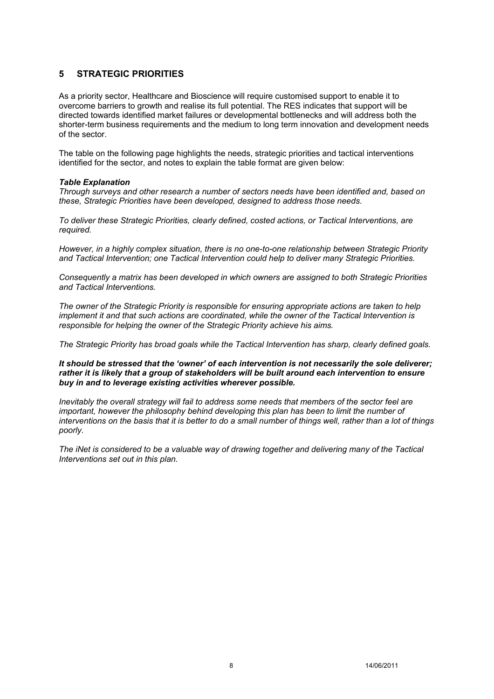# **5 STRATEGIC PRIORITIES**

As a priority sector, Healthcare and Bioscience will require customised support to enable it to overcome barriers to growth and realise its full potential. The RES indicates that support will be directed towards identified market failures or developmental bottlenecks and will address both the shorter-term business requirements and the medium to long term innovation and development needs of the sector.

The table on the following page highlights the needs, strategic priorities and tactical interventions identified for the sector, and notes to explain the table format are given below:

# *Table Explanation*

*Through surveys and other research a number of sectors needs have been identified and, based on these, Strategic Priorities have been developed, designed to address those needs.* 

*To deliver these Strategic Priorities, clearly defined, costed actions, or Tactical Interventions, are required.* 

*However, in a highly complex situation, there is no one-to-one relationship between Strategic Priority and Tactical Intervention; one Tactical Intervention could help to deliver many Strategic Priorities.* 

*Consequently a matrix has been developed in which owners are assigned to both Strategic Priorities and Tactical Interventions.* 

*The owner of the Strategic Priority is responsible for ensuring appropriate actions are taken to help implement it and that such actions are coordinated, while the owner of the Tactical Intervention is responsible for helping the owner of the Strategic Priority achieve his aims.* 

*The Strategic Priority has broad goals while the Tactical Intervention has sharp, clearly defined goals.* 

*It should be stressed that the 'owner' of each intervention is not necessarily the sole deliverer; rather it is likely that a group of stakeholders will be built around each intervention to ensure buy in and to leverage existing activities wherever possible.* 

*Inevitably the overall strategy will fail to address some needs that members of the sector feel are important, however the philosophy behind developing this plan has been to limit the number of interventions on the basis that it is better to do a small number of things well, rather than a lot of things poorly.* 

*The iNet is considered to be a valuable way of drawing together and delivering many of the Tactical Interventions set out in this plan.*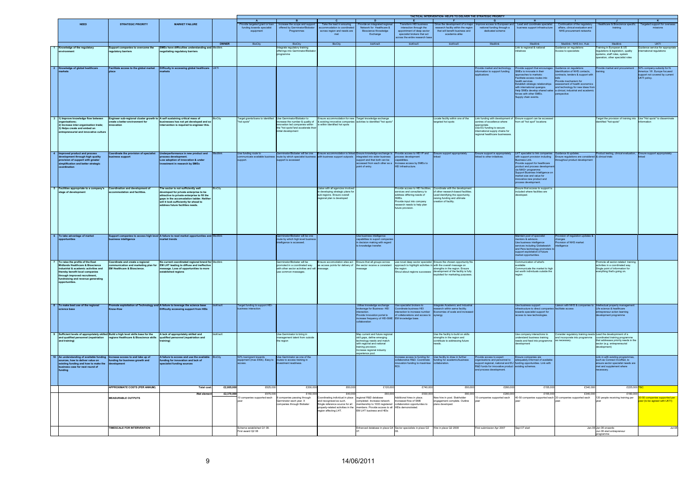|                                                                                                                                                                                                       |                                                                                                                                             |                                                                                                                                                                                                                                               |                        | <b>A</b>                                                                |                                                                                                                                                         | <b>C</b>                                                                                                                                                                 | $\overline{D}$                                                                                                                                                                           |                                                                                                                                                                                           | TACTICAL INTERVENTION- HELPS TO DELIVER THE STRATEGIC PRIORITY                                                                                                                                                                                                                                     |                                                                                                                                                                                                            | - H -                                                                                                                                                                                                                                                                                                                                                                                                        |                                                                                                                                                | <b>J</b>                                                                                                                              | K                                                                                                           |
|-------------------------------------------------------------------------------------------------------------------------------------------------------------------------------------------------------|---------------------------------------------------------------------------------------------------------------------------------------------|-----------------------------------------------------------------------------------------------------------------------------------------------------------------------------------------------------------------------------------------------|------------------------|-------------------------------------------------------------------------|---------------------------------------------------------------------------------------------------------------------------------------------------------|--------------------------------------------------------------------------------------------------------------------------------------------------------------------------|------------------------------------------------------------------------------------------------------------------------------------------------------------------------------------------|-------------------------------------------------------------------------------------------------------------------------------------------------------------------------------------------|----------------------------------------------------------------------------------------------------------------------------------------------------------------------------------------------------------------------------------------------------------------------------------------------------|------------------------------------------------------------------------------------------------------------------------------------------------------------------------------------------------------------|--------------------------------------------------------------------------------------------------------------------------------------------------------------------------------------------------------------------------------------------------------------------------------------------------------------------------------------------------------------------------------------------------------------|------------------------------------------------------------------------------------------------------------------------------------------------|---------------------------------------------------------------------------------------------------------------------------------------|-------------------------------------------------------------------------------------------------------------|
| <b>NEED</b>                                                                                                                                                                                           | <b>STRATEGIC PRIORITY</b>                                                                                                                   | <b>MARKET FAILURE</b>                                                                                                                                                                                                                         |                        | ovide targeted grant or loan<br>funding towards specialist<br>equipment | B<br>Increase the scope and suppor<br>offered by Germinator/Biobate<br>Programmes                                                                       | Take the lead in ensuring<br>odation is coording<br>across region and needs are                                                                                          | rovide an integrated region<br>Network for Healthcare &<br>Binsol<br>nce Knowledge<br>Exchange                                                                                           | <b>E</b><br><b>Transform HEI businer</b><br>interaction through the<br>appointment of deep sector<br>specialist brokers that act<br>ross the entire research ba                           | -F<br>rive the development of a ma<br>research facility within the region<br>that will benefit business and<br>academia alike                                                                                                                                                                      | $\mathbf{G}$<br>prove access to European and<br>national funding through a<br>dedicated scheme                                                                                                             | Lead and coordinate specialist<br>business support infrastructure                                                                                                                                                                                                                                                                                                                                            | Continuation of the regulatory<br>affairs, clinical evaluation and<br>NHS procurement networks                                                 | care & Bioscience spe<br>training                                                                                                     | argeted support for o                                                                                       |
|                                                                                                                                                                                                       |                                                                                                                                             |                                                                                                                                                                                                                                               |                        | <b>BioCity</b>                                                          | <b>BioCity</b>                                                                                                                                          | <b>BioCity</b>                                                                                                                                                           |                                                                                                                                                                                          |                                                                                                                                                                                           | bioKneX                                                                                                                                                                                                                                                                                            |                                                                                                                                                                                                            |                                                                                                                                                                                                                                                                                                                                                                                                              | Medilink / NHS Inn. Hu                                                                                                                         |                                                                                                                                       |                                                                                                             |
| wledge of the regulato                                                                                                                                                                                |                                                                                                                                             | <b>MEs have difficulties</b>                                                                                                                                                                                                                  |                        |                                                                         | Integrate regulatory training                                                                                                                           |                                                                                                                                                                          |                                                                                                                                                                                          |                                                                                                                                                                                           |                                                                                                                                                                                                                                                                                                    |                                                                                                                                                                                                            | Link to regional & na                                                                                                                                                                                                                                                                                                                                                                                        | nce on regula                                                                                                                                  | raining in European & US<br>sgulations & legislation, quality                                                                         | tce service for app                                                                                         |
| ae of alob                                                                                                                                                                                            | latory barriers<br>cilitate access to the global marke                                                                                      | otiating regulatory barriers<br>ifficulty in accessing global healthcare                                                                                                                                                                      |                        |                                                                         | Merings into Germinator/Bio<br>vrogramme                                                                                                                |                                                                                                                                                                          |                                                                                                                                                                                          |                                                                                                                                                                                           |                                                                                                                                                                                                                                                                                                    | ovide market and technology                                                                                                                                                                                | atives                                                                                                                                                                                                                                                                                                                                                                                                       | cess to specialists                                                                                                                            | ems, staff roles, system<br>on, other spec<br>.<br>Ialist mles<br>wide market and procurement                                         | national regula                                                                                             |
|                                                                                                                                                                                                       |                                                                                                                                             |                                                                                                                                                                                                                                               |                        |                                                                         |                                                                                                                                                         |                                                                                                                                                                          |                                                                                                                                                                                          |                                                                                                                                                                                           |                                                                                                                                                                                                                                                                                                    | mation to support funding                                                                                                                                                                                  | rovide support that encourages<br>MEs to innovate in their<br>pproaches to markets:<br>acilitate access routes into<br>realistic systems in the provide mechanism for<br>featurist stategic relationships assessment of health economics<br>Establish strategic relationships assessment of health<br>international quangos.<br>Strategic and the compared st<br>ces with other SMEs.<br>upply chain events. | Guidance on regulations<br>Identification of NHS contacts,<br>racts, tenders & support w                                                       | nina                                                                                                                                  | 50% company subsidy for N.<br>America / W. Europe focused<br>support not covered by current<br>UKTI policy. |
| 3 1) Improve knowledge flow between<br>crease inter-organisation trade<br>Helps create and embed an<br>eurial and innovative cultu                                                                    | Engineer sub-regional cluster growth to A self sustaining critical mass of create a better environment for businesses has not vet developed | inesses has not yet developed and s<br>rvention is required to engineer this.                                                                                                                                                                 | BioCity                | Target grants/loans to identified<br>t spots                            | Use Germinator/Biobator to<br>crease the number & quality of<br>inovation led companies within<br>he "hot spots"and accelerate the<br>itial development | Ensure accommodation for new Target knowledge exchange<br>& existing innovative compan<br>is within identified hot spots                                                 | ties to identified "hot spots                                                                                                                                                            |                                                                                                                                                                                           | Locate facility within one of the<br>geted hot spots                                                                                                                                                                                                                                               | Link funding with development of<br>intres of excellence where<br>Jse EU funding to secure<br>ternational supply chains for<br>eqional healthcare businesses                                               | Ensure support can be accessed<br>m all "hot spot" locations                                                                                                                                                                                                                                                                                                                                                 |                                                                                                                                                | Target the provision of training into Use "Hot spots" to disseminat<br>ntified "hot-spots"                                            |                                                                                                             |
| <b>Improved product and process</b><br>evelopment through high quality<br>rovision of support with greater<br>mplification and better strategic                                                       | pordinate the provision of specialis<br>ness suppor                                                                                         | Inderperformance in new product and<br>process development.<br>Low adoption of innovation & under<br>stment in research by SMEs                                                                                                               |                        | Ise funding route to                                                    | minator/Biobater will be one<br>municate available business route by which specialist busine<br>port.                                                   | Ensure accommodation is linke<br>with business support outposts                                                                                                          | Ensure knowledge exchange is<br>ntegrated into wider business<br>support and that both can be<br>accessed from each other as a<br>oint of entry.                                         | rovide access to HEI IP and<br>process development<br>capabilities.<br>Increase access by SMEs to<br>HEI infrastructure.                                                                  | Ensure support appropriately                                                                                                                                                                                                                                                                       | sure support is appropriately<br>ked to other initiatives                                                                                                                                                  | LHT specialist to link companies<br>with support provision including<br>Business Link.<br>Business Link.<br>Provide support for healthcare<br>product and process developm<br>via MAS+ programme<br>Support Business Intelligence of<br>market size and value for<br>innovative new product and<br>process development.                                                                                      | idance & updates<br>Ensure regulations are considered & clinical trials<br>throughout product development                                      | oduct testing, clinical evaluation,                                                                                                   | Ensure support appropriately                                                                                |
| acilities appropriate to a company's<br>age of development                                                                                                                                            | oordination and development o<br>edation and facilities.                                                                                    | The sector is not sufficiently well<br>reloped for private enterprise to be<br>tractive to private enterprise to fill the<br>aps in the accomodation ladder. Neithe<br>will it look sufficiently far ahead to<br>ess future facilities needs. | <b>lioCity</b>         |                                                                         |                                                                                                                                                         | Liaise with all agencies involve<br>in developing strategic plans fo<br>sub regions. Ensure overall<br>regional plan is developed                                        |                                                                                                                                                                                          | Provide access to HEI facilities,<br>services and consultancy to<br>address differing needs of<br>SMEs.<br>Provide input into company<br>research needs to help plan<br>future provision. | Coordinate with the development<br>of other research-based facilities<br>Lead identifying the opportunity,<br>raising funding and ultimate<br>reation of facility.                                                                                                                                 |                                                                                                                                                                                                            | Ensure that access to support is<br>included where facilities are<br>veloped.                                                                                                                                                                                                                                                                                                                                |                                                                                                                                                |                                                                                                                                       |                                                                                                             |
| 6 To take adv<br>ortunities                                                                                                                                                                           | ness intelligence                                                                                                                           | arket trends                                                                                                                                                                                                                                  |                        |                                                                         | ator/Biobator will be one<br>erminator/Biobator will be one<br>oute by which high level busine<br>ce is accessed.                                       |                                                                                                                                                                          | Jse business intelligence<br>pabilities to suport compa<br>decision making with regard<br>knowledge transfer.                                                                            |                                                                                                                                                                                           |                                                                                                                                                                                                                                                                                                    |                                                                                                                                                                                                            | tain pool of specia<br>entors & advisors.<br>The business intelligence<br>services including Globalwatch<br>and Pera technology promoters<br>support exploitation of future<br>arket opportunities                                                                                                                                                                                                           | ision of regulation updates &<br>anges<br>rovision of NHS market                                                                               |                                                                                                                                       |                                                                                                             |
| To raise the profile of the East<br>Ithcare & Bioscience<br>ustrial & academic activities and<br>thereby benefit local companies<br>through improved recruitment,<br>ndraising and revenue generating | coordinate and create a regional<br><b>Healthcare &amp; Bioscience</b>                                                                      | No current coordinated regional brand for<br>nmunication and marketing plan for EM LHT leading to diffuse and ineffective<br>message. Loss of opportunities to more<br>established regions                                                    |                        |                                                                         | Germinator/Biobater will be<br>omoted in a coordinated way<br>vith other sector activities and wil<br>use common messages.                              | Ensure accomodation sites act Ensure that all groups across<br>as access points for delivery of the sector receive a consistant<br>ssage.                                | ssage                                                                                                                                                                                    |                                                                                                                                                                                           | use novel deep sector specialist Ensure the chosen opportunity fits<br>approach to highlight activities in with the overall message on<br>the region. Ensure strengths in the region. Ensure<br>Shout about regions successes development of the facility is fully<br>coloited for marketing purpo |                                                                                                                                                                                                            | Communication of what's<br>available<br>mmunicate the market to high<br>net worth individuals outside the                                                                                                                                                                                                                                                                                                    |                                                                                                                                                | romote all sector-related training<br>clivities in a coordinated way<br>Single point of information for<br>werything that's going on. |                                                                                                             |
| To make best use of the regional<br>nce base                                                                                                                                                          |                                                                                                                                             | <b>Transfer exploitation of Technology and A failure to leverage the science base</b><br>now-How<br>Difficulty accessing support from HFIe                                                                                                    | <b>X</b> neX<br>ioKneX | Target funding to support HEI-                                          |                                                                                                                                                         |                                                                                                                                                                          | Jtilise knowledge exchange<br>rokerage for Business- HEI<br>vide Innovation portal to<br>ase frequency of HEI-SME<br>aboration                                                           | Use specialist brokers to<br>Coordinate business HEI<br>Interaction to increase numbe<br>f collaborations and access to<br>M knowledge bas                                                | Integrate Academic and Industrial<br>research within same facility.<br>Economies of scale and increase<br>merav                                                                                                                                                                                    |                                                                                                                                                                                                            | Use business support<br>infrastructure to direct companie<br>towards specialist support for<br>access to new technologies                                                                                                                                                                                                                                                                                    | Liaison with NHS & companies to<br>facilitate access                                                                                           | Intellectual property managem<br>Life science & healthcare<br>entrepreneur action learning<br>elopment programme                      |                                                                                                             |
| Sufficient levels of appropriately skilled Build a high level skills base for the<br>and qualified personnel (repatriation<br>d training                                                              | gions Healthcare & Bioscience skills                                                                                                        | A lack of appropriately skilled and<br>alified personnel (repatriation and                                                                                                                                                                    |                        |                                                                         | Use Germinator to bring in<br>management talent from outsid<br>the region                                                                               |                                                                                                                                                                          | Map current and future regions<br>skill gaps, define emerging<br>inology needs and match<br>ith regional and national<br>raining provision.<br>crease regional industry<br>erience pool. |                                                                                                                                                                                           | Use the facility to build on skills<br>strengths in the region and<br>contribute to addressing future                                                                                                                                                                                              |                                                                                                                                                                                                            | Use company interactions to<br>understand business training<br>needs and feed into programme                                                                                                                                                                                                                                                                                                                 | Consider regulatory training needs Lead the developmnent of a<br>and incorporate into programme coordinated training programm<br>as necessary. | ordinated training programme<br>that addresses priority needs in the<br>ector (e.g. entrepreneurial<br>elopment)                      |                                                                                                             |
| An understanding of available fun-<br>irces, how to deliver value on<br>sting funding and how to make the<br>siness case for next round of                                                            | rease access to and take up of<br>ding for business growth and<br><b>PPROXIMATE COSTS (PER ANNUM)</b>                                       | A failure to access and use the ava<br>ding for innovation and lack of<br>list funding sources                                                                                                                                                | pCity                  | i0% loan/grant towards<br>uipment (max £50k). Easy to                   | Use Germinator as one of the<br>routes to access training in                                                                                            |                                                                                                                                                                          |                                                                                                                                                                                          | Increase access to funding for<br>collaborative R&D. Coordinate<br>nnovation funding to m <mark>axi</mark> i<br>ROI.                                                                      | Use facility to draw in further<br>inding for academic/business                                                                                                                                                                                                                                    | ovide access to expert<br>anisations and personnel to<br>Support regional, national and EU funding opportunities. Link with<br>R&D funds for innovative product existing schemes.<br>d process development | Ensure companies are<br>idequately informed of available                                                                                                                                                                                                                                                                                                                                                     |                                                                                                                                                | Link in with existing programmes<br>such as Connect InvoRed, to<br>ensure sector specialist needs and supplement where<br>ecessary.   |                                                                                                             |
|                                                                                                                                                                                                       |                                                                                                                                             | Total c                                                                                                                                                                                                                                       | £2,805,                |                                                                         |                                                                                                                                                         |                                                                                                                                                                          |                                                                                                                                                                                          |                                                                                                                                                                                           |                                                                                                                                                                                                                                                                                                    |                                                                                                                                                                                                            | £155,0                                                                                                                                                                                                                                                                                                                                                                                                       |                                                                                                                                                |                                                                                                                                       |                                                                                                             |
|                                                                                                                                                                                                       | <b>MEASURABLE OUTPUTS</b>                                                                                                                   | iNet ale                                                                                                                                                                                                                                      | £2,370,00              | \$575,000<br>companies supported each                                   | \$150.0<br>8 companies passing through<br>terminator each year. X<br>Jerminator each year. X<br>ompanies through Biobater                               | 640,000<br>Coordinating individual in place<br>and recognised as such.<br>Single reference source for all<br>property-related activities in the<br>region affecting LHT. | £60,000<br>egional R&D database<br>mpleted. Increase network<br>embership to 1000 registered<br>embers. Provide access to all HEIs demonstrated.<br>EM LHT business and HEIs             | £530,000<br>Additional hires in place.<br>Increased flow of SME<br>collaboration opportunites to                                                                                          | F60.00<br>New hire in post. Stakholder<br>engagement complete. Outline<br>plans developed.                                                                                                                                                                                                         | £280,00<br>10 companies supported each                                                                                                                                                                     | £155,000<br>40-50 companies supported each 30 companies supported each                                                                                                                                                                                                                                                                                                                                       | £340,000                                                                                                                                       | £180,000<br>120 people receiving training per                                                                                         | rted per<br>ar (to be agreed with UKTI)                                                                     |
|                                                                                                                                                                                                       | <b>TIMESCALE FOR INTERVENTION</b>                                                                                                           |                                                                                                                                                                                                                                               |                        | Scheme established Q1 08<br>First award Q2 08                           |                                                                                                                                                         |                                                                                                                                                                          |                                                                                                                                                                                          | nhanced database in place Q4 Sector specialists in place Q2                                                                                                                               | Hire in place Q2 2008                                                                                                                                                                                                                                                                              | irst submission Apr 2007                                                                                                                                                                                   | Sept 07 star                                                                                                                                                                                                                                                                                                                                                                                                 |                                                                                                                                                | Jan-08 Jan 08 onwards<br>Jun 08 start entrepreneur                                                                                    |                                                                                                             |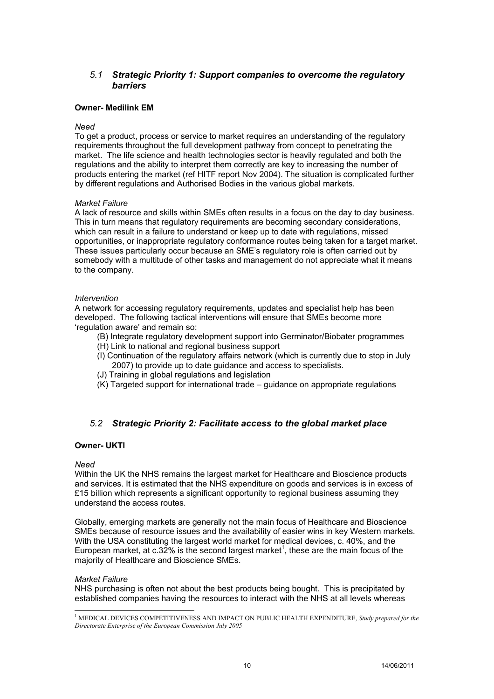# *5.1 Strategic Priority 1: Support companies to overcome the regulatory barriers*

# **Owner- Medilink EM**

# *Need*

To get a product, process or service to market requires an understanding of the regulatory requirements throughout the full development pathway from concept to penetrating the market. The life science and health technologies sector is heavily regulated and both the regulations and the ability to interpret them correctly are key to increasing the number of products entering the market (ref HITF report Nov 2004). The situation is complicated further by different regulations and Authorised Bodies in the various global markets.

# *Market Failure*

A lack of resource and skills within SMEs often results in a focus on the day to day business. This in turn means that regulatory requirements are becoming secondary considerations, which can result in a failure to understand or keep up to date with regulations, missed opportunities, or inappropriate regulatory conformance routes being taken for a target market. These issues particularly occur because an SME's regulatory role is often carried out by somebody with a multitude of other tasks and management do not appreciate what it means to the company.

# *Intervention*

A network for accessing regulatory requirements, updates and specialist help has been developed. The following tactical interventions will ensure that SMEs become more 'regulation aware' and remain so:

- (B) Integrate regulatory development support into Germinator/Biobater programmes
- (H) Link to national and regional business support
- (I) Continuation of the regulatory affairs network (which is currently due to stop in July 2007) to provide up to date guidance and access to specialists.
- (J) Training in global regulations and legislation
- (K) Targeted support for international trade guidance on appropriate regulations

# *5.2 Strategic Priority 2: Facilitate access to the global market place*

# **Owner- UKTI**

# *Need*

Within the UK the NHS remains the largest market for Healthcare and Bioscience products and services. It is estimated that the NHS expenditure on goods and services is in excess of £15 billion which represents a significant opportunity to regional business assuming they understand the access routes.

Globally, emerging markets are generally not the main focus of Healthcare and Bioscience SMEs because of resource issues and the availability of easier wins in key Western markets. With the USA constituting the largest world market for medical devices, c. 40%, and the European market, at c.32% is the second largest market<sup>1</sup>, these are the main focus of the majority of Healthcare and Bioscience SMEs.

# *Market Failure*

NHS purchasing is often not about the best products being bought. This is precipitated by established companies having the resources to interact with the NHS at all levels whereas

 1 MEDICAL DEVICES COMPETITIVENESS AND IMPACT ON PUBLIC HEALTH EXPENDITURE, *Study prepared for the Directorate Enterprise of the European Commission July 2005*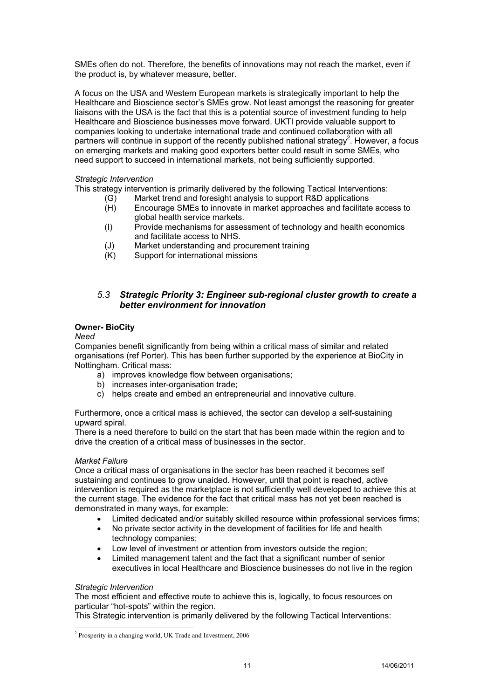SMEs often do not. Therefore, the benefits of innovations may not reach the market, even if the product is, by whatever measure, better.

A focus on the USA and Western European markets is strategically important to help the Healthcare and Bioscience sector's SMEs grow. Not least amongst the reasoning for greater liaisons with the USA is the fact that this is a potential source of investment funding to help Healthcare and Bioscience businesses move forward. UKTI provide valuable support to companies looking to undertake international trade and continued collaboration with all partners will continue in support of the recently published national strategy<sup>2</sup>. However, a focus on emerging markets and making good exporters better could result in some SMEs, who need support to succeed in international markets, not being sufficiently supported.

# *Strategic Intervention*

This strategy intervention is primarily delivered by the following Tactical Interventions:

- (G) Market trend and foresight analysis to support R&D applications
	- (H) Encourage SMEs to innovate in market approaches and facilitate access to global health service markets.
	- (I) Provide mechanisms for assessment of technology and health economics and facilitate access to NHS.
	- (J) Market understanding and procurement training
	- (K) Support for international missions

# *5.3 Strategic Priority 3: Engineer sub-regional cluster growth to create a better environment for innovation*

# **Owner- BioCity**

# *Need*

Companies benefit significantly from being within a critical mass of similar and related organisations (ref Porter). This has been further supported by the experience at BioCity in Nottingham. Critical mass:

- a) improves knowledge flow between organisations;
- b) increases inter-organisation trade;
- c) helps create and embed an entrepreneurial and innovative culture.

Furthermore, once a critical mass is achieved, the sector can develop a self-sustaining upward spiral.

There is a need therefore to build on the start that has been made within the region and to drive the creation of a critical mass of businesses in the sector.

# *Market Failure*

Once a critical mass of organisations in the sector has been reached it becomes self sustaining and continues to grow unaided. However, until that point is reached, active intervention is required as the marketplace is not sufficiently well developed to achieve this at the current stage. The evidence for the fact that critical mass has not yet been reached is demonstrated in many ways, for example:

- Limited dedicated and/or suitably skilled resource within professional services firms;
- No private sector activity in the development of facilities for life and health technology companies;
- Low level of investment or attention from investors outside the region;
- Limited management talent and the fact that a significant number of senior executives in local Healthcare and Bioscience businesses do not live in the region

# *Strategic Intervention*

The most efficient and effective route to achieve this is, logically, to focus resources on particular "hot-spots" within the region.

This Strategic intervention is primarily delivered by the following Tactical Interventions:

l <sup>2</sup> Prosperity in a changing world, UK Trade and Investment, 2006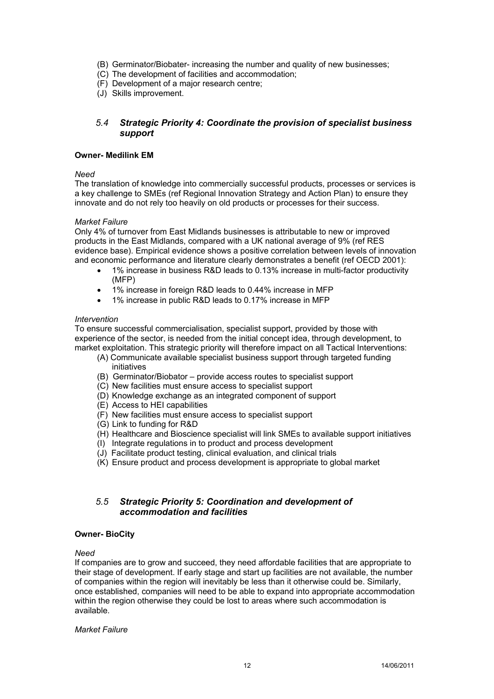- (B) Germinator/Biobater- increasing the number and quality of new businesses;
- (C) The development of facilities and accommodation;
- (F) Development of a major research centre;
- (J) Skills improvement.

# *5.4 Strategic Priority 4: Coordinate the provision of specialist business support*

# **Owner- Medilink EM**

*Need* 

The translation of knowledge into commercially successful products, processes or services is a key challenge to SMEs (ref Regional Innovation Strategy and Action Plan) to ensure they innovate and do not rely too heavily on old products or processes for their success.

# *Market Failure*

Only 4% of turnover from East Midlands businesses is attributable to new or improved products in the East Midlands, compared with a UK national average of 9% (ref RES evidence base). Empirical evidence shows a positive correlation between levels of innovation and economic performance and literature clearly demonstrates a benefit (ref OECD 2001):

- 1% increase in business R&D leads to 0.13% increase in multi-factor productivity (MFP)
- 1% increase in foreign R&D leads to 0.44% increase in MFP
- 1% increase in public R&D leads to 0.17% increase in MFP

# *Intervention*

To ensure successful commercialisation, specialist support, provided by those with experience of the sector, is needed from the initial concept idea, through development, to market exploitation. This strategic priority will therefore impact on all Tactical Interventions:

- (A) Communicate available specialist business support through targeted funding initiatives
- (B) Germinator/Biobator provide access routes to specialist support
- (C) New facilities must ensure access to specialist support
- (D) Knowledge exchange as an integrated component of support
- (E) Access to HEI capabilities
- (F) New facilities must ensure access to specialist support
- (G) Link to funding for R&D
- (H) Healthcare and Bioscience specialist will link SMEs to available support initiatives
- (I) Integrate regulations in to product and process development
- (J) Facilitate product testing, clinical evaluation, and clinical trials
- (K) Ensure product and process development is appropriate to global market

# *5.5 Strategic Priority 5: Coordination and development of accommodation and facilities*

# **Owner- BioCity**

# *Need*

If companies are to grow and succeed, they need affordable facilities that are appropriate to their stage of development. If early stage and start up facilities are not available, the number of companies within the region will inevitably be less than it otherwise could be. Similarly, once established, companies will need to be able to expand into appropriate accommodation within the region otherwise they could be lost to areas where such accommodation is available.

# *Market Failure*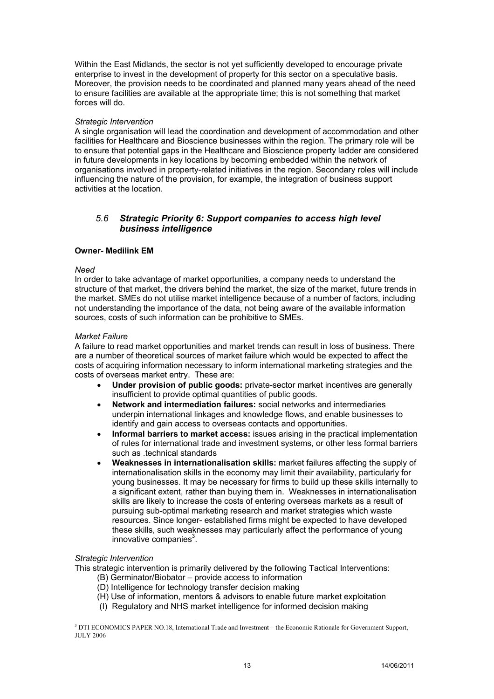Within the East Midlands, the sector is not yet sufficiently developed to encourage private enterprise to invest in the development of property for this sector on a speculative basis. Moreover, the provision needs to be coordinated and planned many years ahead of the need to ensure facilities are available at the appropriate time; this is not something that market forces will do.

# *Strategic Intervention*

A single organisation will lead the coordination and development of accommodation and other facilities for Healthcare and Bioscience businesses within the region. The primary role will be to ensure that potential gaps in the Healthcare and Bioscience property ladder are considered in future developments in key locations by becoming embedded within the network of organisations involved in property-related initiatives in the region. Secondary roles will include influencing the nature of the provision, for example, the integration of business support activities at the location.

# *5.6 Strategic Priority 6: Support companies to access high level business intelligence*

# **Owner- Medilink EM**

# *Need*

In order to take advantage of market opportunities, a company needs to understand the structure of that market, the drivers behind the market, the size of the market, future trends in the market. SMEs do not utilise market intelligence because of a number of factors, including not understanding the importance of the data, not being aware of the available information sources, costs of such information can be prohibitive to SMEs.

# *Market Failure*

A failure to read market opportunities and market trends can result in loss of business. There are a number of theoretical sources of market failure which would be expected to affect the costs of acquiring information necessary to inform international marketing strategies and the costs of overseas market entry. These are:

- **Under provision of public goods:** private-sector market incentives are generally insufficient to provide optimal quantities of public goods.
- **Network and intermediation failures:** social networks and intermediaries underpin international linkages and knowledge flows, and enable businesses to identify and gain access to overseas contacts and opportunities.
- **Informal barriers to market access:** issues arising in the practical implementation of rules for international trade and investment systems, or other less formal barriers such as .technical standards
- **Weaknesses in internationalisation skills:** market failures affecting the supply of internationalisation skills in the economy may limit their availability, particularly for young businesses. It may be necessary for firms to build up these skills internally to a significant extent, rather than buying them in. Weaknesses in internationalisation skills are likely to increase the costs of entering overseas markets as a result of pursuing sub-optimal marketing research and market strategies which waste resources. Since longer- established firms might be expected to have developed these skills, such weaknesses may particularly affect the performance of young innovative companies $3$ .

# *Strategic Intervention*

This strategic intervention is primarily delivered by the following Tactical Interventions:

- (B) Germinator/Biobator provide access to information
- (D) Intelligence for technology transfer decision making
- (H) Use of information, mentors & advisors to enable future market exploitation
- (I) Regulatory and NHS market intelligence for informed decision making

 3 DTI ECONOMICS PAPER NO.18, International Trade and Investment – the Economic Rationale for Government Support, JULY 2006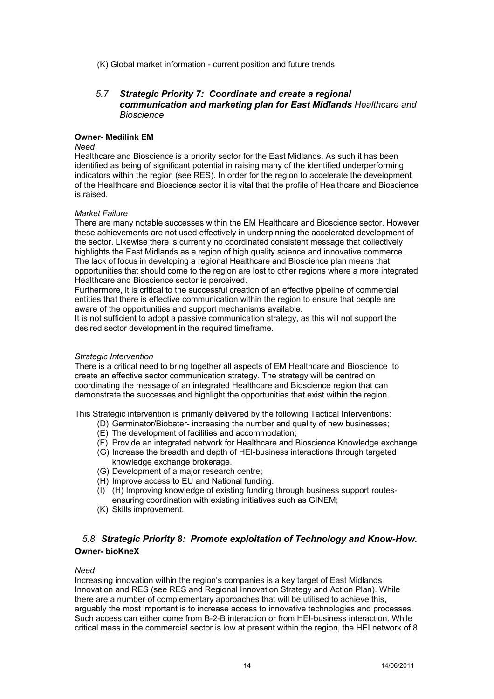(K) Global market information - current position and future trends

# *5.7 Strategic Priority 7: Coordinate and create a regional communication and marketing plan for East Midlands Healthcare and Bioscience*

# **Owner- Medilink EM**

# *Need*

Healthcare and Bioscience is a priority sector for the East Midlands. As such it has been identified as being of significant potential in raising many of the identified underperforming indicators within the region (see RES). In order for the region to accelerate the development of the Healthcare and Bioscience sector it is vital that the profile of Healthcare and Bioscience is raised.

# *Market Failure*

There are many notable successes within the EM Healthcare and Bioscience sector. However these achievements are not used effectively in underpinning the accelerated development of the sector. Likewise there is currently no coordinated consistent message that collectively highlights the East Midlands as a region of high quality science and innovative commerce. The lack of focus in developing a regional Healthcare and Bioscience plan means that opportunities that should come to the region are lost to other regions where a more integrated Healthcare and Bioscience sector is perceived.

Furthermore, it is critical to the successful creation of an effective pipeline of commercial entities that there is effective communication within the region to ensure that people are aware of the opportunities and support mechanisms available.

It is not sufficient to adopt a passive communication strategy, as this will not support the desired sector development in the required timeframe.

# *Strategic Intervention*

There is a critical need to bring together all aspects of EM Healthcare and Bioscience to create an effective sector communication strategy. The strategy will be centred on coordinating the message of an integrated Healthcare and Bioscience region that can demonstrate the successes and highlight the opportunities that exist within the region.

This Strategic intervention is primarily delivered by the following Tactical Interventions:

- (D) Germinator/Biobater- increasing the number and quality of new businesses;
- (E) The development of facilities and accommodation;
- (F) Provide an integrated network for Healthcare and Bioscience Knowledge exchange
- (G) Increase the breadth and depth of HEI-business interactions through targeted knowledge exchange brokerage.
- (G) Development of a major research centre;
- (H) Improve access to EU and National funding.
- (I) (H) Improving knowledge of existing funding through business support routesensuring coordination with existing initiatives such as GINEM;
- (K) Skills improvement.

# *5.8 Strategic Priority 8: Promote exploitation of Technology and Know-How.*  **Owner- bioKneX**

# *Need*

Increasing innovation within the region's companies is a key target of East Midlands Innovation and RES (see RES and Regional Innovation Strategy and Action Plan). While there are a number of complementary approaches that will be utilised to achieve this, arguably the most important is to increase access to innovative technologies and processes. Such access can either come from B-2-B interaction or from HEI-business interaction. While critical mass in the commercial sector is low at present within the region, the HEI network of 8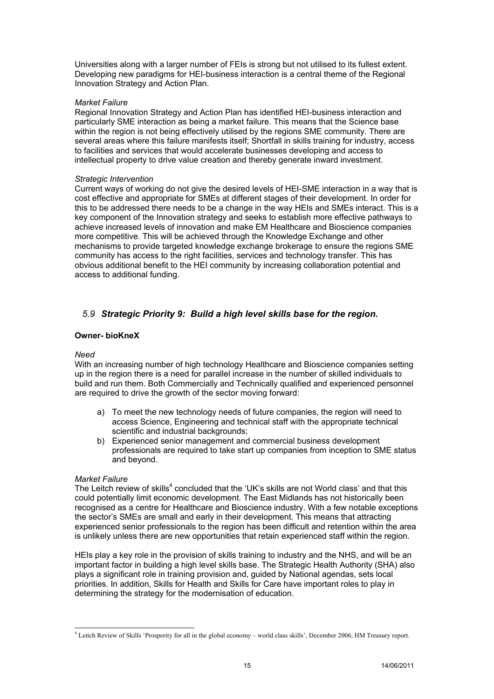Universities along with a larger number of FEIs is strong but not utilised to its fullest extent. Developing new paradigms for HEI-business interaction is a central theme of the Regional Innovation Strategy and Action Plan.

# *Market Failure*

Regional Innovation Strategy and Action Plan has identified HEI-business interaction and particularly SME interaction as being a market failure. This means that the Science base within the region is not being effectively utilised by the regions SME community. There are several areas where this failure manifests itself; Shortfall in skills training for industry, access to facilities and services that would accelerate businesses developing and access to intellectual property to drive value creation and thereby generate inward investment.

#### *Strategic Intervention*

Current ways of working do not give the desired levels of HEI-SME interaction in a way that is cost effective and appropriate for SMEs at different stages of their development. In order for this to be addressed there needs to be a change in the way HEIs and SMEs interact. This is a key component of the Innovation strategy and seeks to establish more effective pathways to achieve increased levels of innovation and make EM Healthcare and Bioscience companies more competitive. This will be achieved through the Knowledge Exchange and other mechanisms to provide targeted knowledge exchange brokerage to ensure the regions SME community has access to the right facilities, services and technology transfer. This has obvious additional benefit to the HEI community by increasing collaboration potential and access to additional funding.

# *5.9 Strategic Priority 9: Build a high level skills base for the region.*

# **Owner- bioKneX**

# *Need*

With an increasing number of high technology Healthcare and Bioscience companies setting up in the region there is a need for parallel increase in the number of skilled individuals to build and run them. Both Commercially and Technically qualified and experienced personnel are required to drive the growth of the sector moving forward:

- a) To meet the new technology needs of future companies, the region will need to access Science, Engineering and technical staff with the appropriate technical scientific and industrial backgrounds:
- b) Experienced senior management and commercial business development professionals are required to take start up companies from inception to SME status and beyond.

#### *Market Failure*

l

The Leitch review of skills<sup>4</sup> concluded that the 'UK's skills are not World class' and that this could potentially limit economic development. The East Midlands has not historically been recognised as a centre for Healthcare and Bioscience industry. With a few notable exceptions the sector's SMEs are small and early in their development. This means that attracting experienced senior professionals to the region has been difficult and retention within the area is unlikely unless there are new opportunities that retain experienced staff within the region.

HEIs play a key role in the provision of skills training to industry and the NHS, and will be an important factor in building a high level skills base. The Strategic Health Authority (SHA) also plays a significant role in training provision and, guided by National agendas, sets local priorities. In addition, Skills for Health and Skills for Care have important roles to play in determining the strategy for the modernisation of education.

<sup>4</sup> Leitch Review of Skills 'Prosperity for all in the global economy – world class skills', December 2006, HM Treasury report.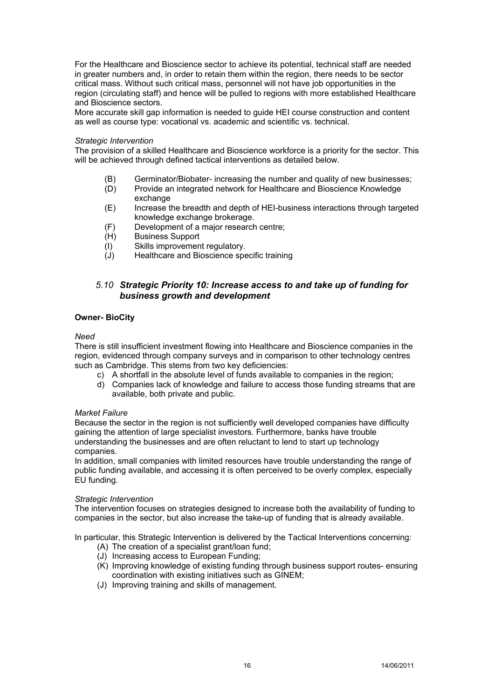For the Healthcare and Bioscience sector to achieve its potential, technical staff are needed in greater numbers and, in order to retain them within the region, there needs to be sector critical mass. Without such critical mass, personnel will not have job opportunities in the region (circulating staff) and hence will be pulled to regions with more established Healthcare and Bioscience sectors.

More accurate skill gap information is needed to guide HEI course construction and content as well as course type: vocational vs. academic and scientific vs. technical.

#### *Strategic Intervention*

The provision of a skilled Healthcare and Bioscience workforce is a priority for the sector. This will be achieved through defined tactical interventions as detailed below.

- (B) Germinator/Biobater- increasing the number and quality of new businesses;
- (D) Provide an integrated network for Healthcare and Bioscience Knowledge exchange
- (E) Increase the breadth and depth of HEI-business interactions through targeted knowledge exchange brokerage.
- (F) Development of a major research centre;
- (H) Business Support
- (I) Skills improvement regulatory.
- (J) Healthcare and Bioscience specific training

# *5.10 Strategic Priority 10: Increase access to and take up of funding for business growth and development*

# **Owner- BioCity**

#### *Need*

There is still insufficient investment flowing into Healthcare and Bioscience companies in the region, evidenced through company surveys and in comparison to other technology centres such as Cambridge. This stems from two key deficiencies:

- c) A shortfall in the absolute level of funds available to companies in the region;
- d) Companies lack of knowledge and failure to access those funding streams that are available, both private and public.

# *Market Failure*

Because the sector in the region is not sufficiently well developed companies have difficulty gaining the attention of large specialist investors. Furthermore, banks have trouble understanding the businesses and are often reluctant to lend to start up technology companies.

In addition, small companies with limited resources have trouble understanding the range of public funding available, and accessing it is often perceived to be overly complex, especially EU funding.

#### *Strategic Intervention*

The intervention focuses on strategies designed to increase both the availability of funding to companies in the sector, but also increase the take-up of funding that is already available.

In particular, this Strategic Intervention is delivered by the Tactical Interventions concerning:

- (A) The creation of a specialist grant/loan fund;
- (J) Increasing access to European Funding;
- (K) Improving knowledge of existing funding through business support routes- ensuring coordination with existing initiatives such as GINEM;
- (J) Improving training and skills of management.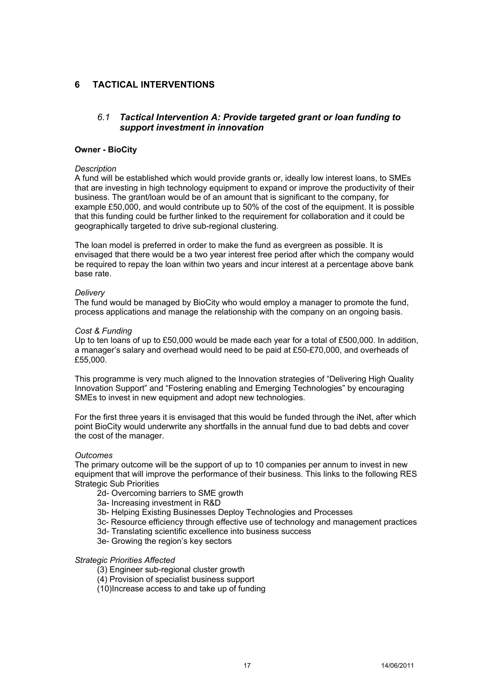# **6 TACTICAL INTERVENTIONS**

# *6.1 Tactical Intervention A: Provide targeted grant or loan funding to support investment in innovation*

# **Owner - BioCity**

# *Description*

A fund will be established which would provide grants or, ideally low interest loans, to SMEs that are investing in high technology equipment to expand or improve the productivity of their business. The grant/loan would be of an amount that is significant to the company, for example £50,000, and would contribute up to 50% of the cost of the equipment. It is possible that this funding could be further linked to the requirement for collaboration and it could be geographically targeted to drive sub-regional clustering.

The loan model is preferred in order to make the fund as evergreen as possible. It is envisaged that there would be a two year interest free period after which the company would be required to repay the loan within two years and incur interest at a percentage above bank base rate.

# *Delivery*

The fund would be managed by BioCity who would employ a manager to promote the fund, process applications and manage the relationship with the company on an ongoing basis.

# *Cost & Funding*

Up to ten loans of up to £50,000 would be made each year for a total of £500,000. In addition, a manager's salary and overhead would need to be paid at £50-£70,000, and overheads of £55,000.

This programme is very much aligned to the Innovation strategies of "Delivering High Quality Innovation Support" and "Fostering enabling and Emerging Technologies" by encouraging SMEs to invest in new equipment and adopt new technologies.

For the first three years it is envisaged that this would be funded through the iNet, after which point BioCity would underwrite any shortfalls in the annual fund due to bad debts and cover the cost of the manager.

# *Outcomes*

The primary outcome will be the support of up to 10 companies per annum to invest in new equipment that will improve the performance of their business. This links to the following RES Strategic Sub Priorities

- 2d- Overcoming barriers to SME growth
- 3a- Increasing investment in R&D
- 3b- Helping Existing Businesses Deploy Technologies and Processes
- 3c- Resource efficiency through effective use of technology and management practices
- 3d- Translating scientific excellence into business success
- 3e- Growing the region's key sectors

# *Strategic Priorities Affected*

- (3) Engineer sub-regional cluster growth
- (4) Provision of specialist business support
- (10)Increase access to and take up of funding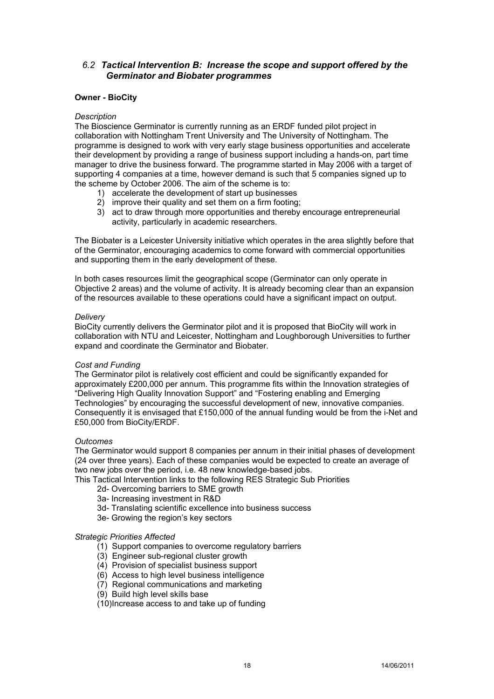# *6.2 Tactical Intervention B: Increase the scope and support offered by the Germinator and Biobater programmes*

# **Owner - BioCity**

# *Description*

The Bioscience Germinator is currently running as an ERDF funded pilot project in collaboration with Nottingham Trent University and The University of Nottingham. The programme is designed to work with very early stage business opportunities and accelerate their development by providing a range of business support including a hands-on, part time manager to drive the business forward. The programme started in May 2006 with a target of supporting 4 companies at a time, however demand is such that 5 companies signed up to the scheme by October 2006. The aim of the scheme is to:

- 1) accelerate the development of start up businesses
- 2) improve their quality and set them on a firm footing;
- 3) act to draw through more opportunities and thereby encourage entrepreneurial activity, particularly in academic researchers.

The Biobater is a Leicester University initiative which operates in the area slightly before that of the Germinator, encouraging academics to come forward with commercial opportunities and supporting them in the early development of these.

In both cases resources limit the geographical scope (Germinator can only operate in Objective 2 areas) and the volume of activity. It is already becoming clear than an expansion of the resources available to these operations could have a significant impact on output.

# *Delivery*

BioCity currently delivers the Germinator pilot and it is proposed that BioCity will work in collaboration with NTU and Leicester, Nottingham and Loughborough Universities to further expand and coordinate the Germinator and Biobater.

# *Cost and Funding*

The Germinator pilot is relatively cost efficient and could be significantly expanded for approximately £200,000 per annum. This programme fits within the Innovation strategies of "Delivering High Quality Innovation Support" and "Fostering enabling and Emerging Technologies" by encouraging the successful development of new, innovative companies. Consequently it is envisaged that £150,000 of the annual funding would be from the i-Net and £50,000 from BioCity/ERDF.

# *Outcomes*

The Germinator would support 8 companies per annum in their initial phases of development (24 over three years). Each of these companies would be expected to create an average of two new jobs over the period, i.e. 48 new knowledge-based jobs.

This Tactical Intervention links to the following RES Strategic Sub Priorities

- 2d- Overcoming barriers to SME growth
- 3a- Increasing investment in R&D
- 3d- Translating scientific excellence into business success
- 3e- Growing the region's key sectors

# *Strategic Priorities Affected*

- (1) Support companies to overcome regulatory barriers
- (3) Engineer sub-regional cluster growth
- (4) Provision of specialist business support
- (6) Access to high level business intelligence
- (7) Regional communications and marketing
- (9) Build high level skills base

(10)Increase access to and take up of funding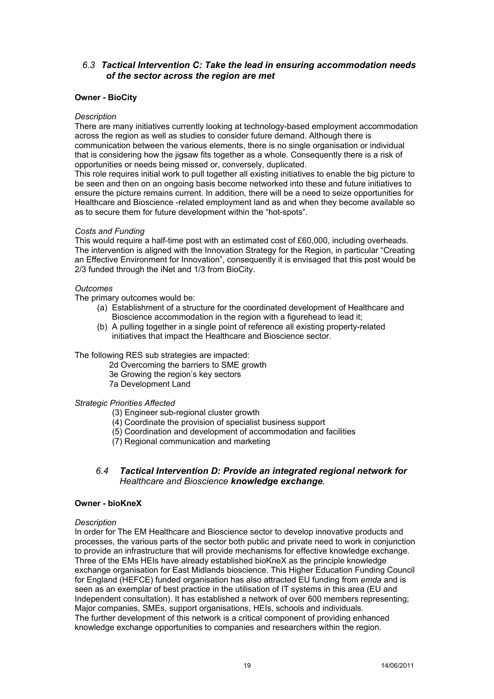# *6.3 Tactical Intervention C: Take the lead in ensuring accommodation needs of the sector across the region are met*

# **Owner - BioCity**

# *Description*

There are many initiatives currently looking at technology-based employment accommodation across the region as well as studies to consider future demand. Although there is communication between the various elements, there is no single organisation or individual that is considering how the jigsaw fits together as a whole. Consequently there is a risk of opportunities or needs being missed or, conversely, duplicated.

This role requires initial work to pull together all existing initiatives to enable the big picture to be seen and then on an ongoing basis become networked into these and future initiatives to ensure the picture remains current. In addition, there will be a need to seize opportunities for Healthcare and Bioscience -related employment land as and when they become available so as to secure them for future development within the "hot-spots".

# *Costs and Funding*

This would require a half-time post with an estimated cost of £60,000, including overheads. The intervention is aligned with the Innovation Strategy for the Region, in particular "Creating an Effective Environment for Innovation", consequently it is envisaged that this post would be 2/3 funded through the iNet and 1/3 from BioCity.

# *Outcomes*

The primary outcomes would be:

- (a) Establishment of a structure for the coordinated development of Healthcare and Bioscience accommodation in the region with a figurehead to lead it;
- (b) A pulling together in a single point of reference all existing property-related initiatives that impact the Healthcare and Bioscience sector.

# The following RES sub strategies are impacted:

- 2d Overcoming the barriers to SME growth
- 3e Growing the region's key sectors
- 7a Development Land

# *Strategic Priorities Affected*

- (3) Engineer sub-regional cluster growth
- (4) Coordinate the provision of specialist business support
- (5) Coordination and development of accommodation and facilities
- (7) Regional communication and marketing

# *6.4 Tactical Intervention D: Provide an integrated regional network for Healthcare and Bioscience knowledge exchange.*

# **Owner - bioKneX**

# *Description*

In order for The EM Healthcare and Bioscience sector to develop innovative products and processes, the various parts of the sector both public and private need to work in conjunction to provide an infrastructure that will provide mechanisms for effective knowledge exchange. Three of the EMs HEIs have already established bioKneX as the principle knowledge exchange organisation for East Midlands bioscience. This Higher Education Funding Council for England (HEFCE) funded organisation has also attracted EU funding from *emda* and is seen as an exemplar of best practice in the utilisation of IT systems in this area (EU and Independent consultation). It has established a network of over 600 members representing; Major companies, SMEs, support organisations, HEIs, schools and individuals. The further development of this network is a critical component of providing enhanced knowledge exchange opportunities to companies and researchers within the region.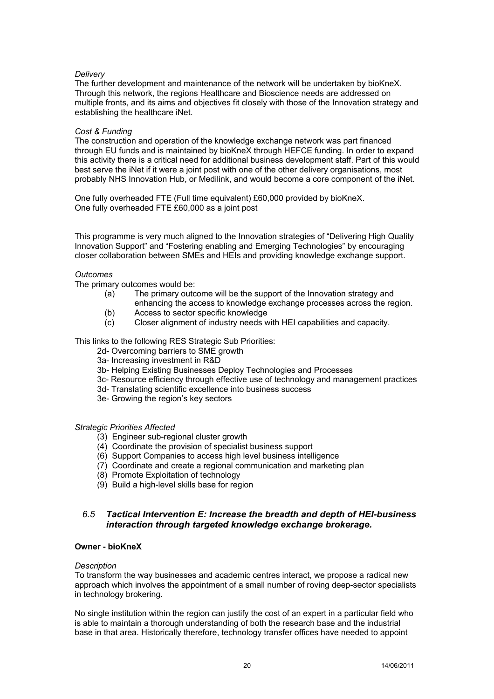# *Delivery*

The further development and maintenance of the network will be undertaken by bioKneX. Through this network, the regions Healthcare and Bioscience needs are addressed on multiple fronts, and its aims and objectives fit closely with those of the Innovation strategy and establishing the healthcare iNet.

# *Cost & Funding*

The construction and operation of the knowledge exchange network was part financed through EU funds and is maintained by bioKneX through HEFCE funding. In order to expand this activity there is a critical need for additional business development staff. Part of this would best serve the iNet if it were a joint post with one of the other delivery organisations, most probably NHS Innovation Hub, or Medilink, and would become a core component of the iNet.

One fully overheaded FTE (Full time equivalent) £60,000 provided by bioKneX. One fully overheaded FTE £60,000 as a joint post

This programme is very much aligned to the Innovation strategies of "Delivering High Quality Innovation Support" and "Fostering enabling and Emerging Technologies" by encouraging closer collaboration between SMEs and HEIs and providing knowledge exchange support.

# *Outcomes*

The primary outcomes would be:

- (a) The primary outcome will be the support of the Innovation strategy and enhancing the access to knowledge exchange processes across the region.
- (b) Access to sector specific knowledge
- (c) Closer alignment of industry needs with HEI capabilities and capacity.
- 

This links to the following RES Strategic Sub Priorities:

- 2d- Overcoming barriers to SME growth
- 3a- Increasing investment in R&D
- 3b- Helping Existing Businesses Deploy Technologies and Processes
- 3c- Resource efficiency through effective use of technology and management practices
- 3d- Translating scientific excellence into business success
- 3e- Growing the region's key sectors

# *Strategic Priorities Affected*

- (3) Engineer sub-regional cluster growth
- (4) Coordinate the provision of specialist business support
- (6) Support Companies to access high level business intelligence
- (7) Coordinate and create a regional communication and marketing plan
- (8) Promote Exploitation of technology
- (9) Build a high-level skills base for region

# *6.5 Tactical Intervention E: Increase the breadth and depth of HEI-business interaction through targeted knowledge exchange brokerage.*

# **Owner - bioKneX**

# *Description*

To transform the way businesses and academic centres interact, we propose a radical new approach which involves the appointment of a small number of roving deep-sector specialists in technology brokering.

No single institution within the region can justify the cost of an expert in a particular field who is able to maintain a thorough understanding of both the research base and the industrial base in that area. Historically therefore, technology transfer offices have needed to appoint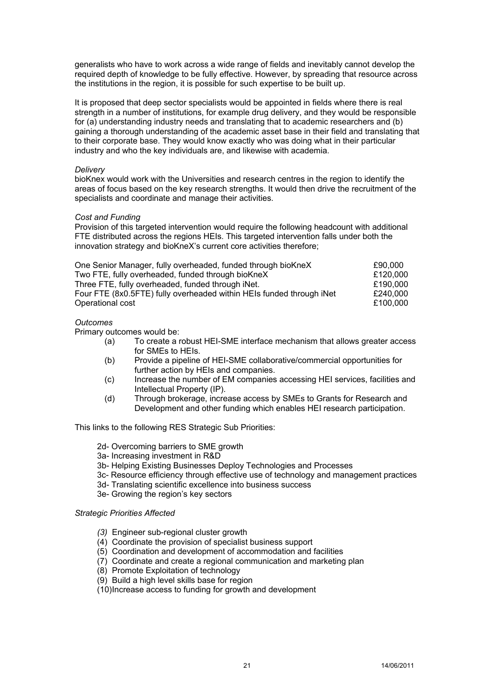generalists who have to work across a wide range of fields and inevitably cannot develop the required depth of knowledge to be fully effective. However, by spreading that resource across the institutions in the region, it is possible for such expertise to be built up.

It is proposed that deep sector specialists would be appointed in fields where there is real strength in a number of institutions, for example drug delivery, and they would be responsible for (a) understanding industry needs and translating that to academic researchers and (b) gaining a thorough understanding of the academic asset base in their field and translating that to their corporate base. They would know exactly who was doing what in their particular industry and who the key individuals are, and likewise with academia.

# *Delivery*

bioKnex would work with the Universities and research centres in the region to identify the areas of focus based on the key research strengths. It would then drive the recruitment of the specialists and coordinate and manage their activities.

# *Cost and Funding*

Provision of this targeted intervention would require the following headcount with additional FTE distributed across the regions HEIs. This targeted intervention falls under both the innovation strategy and bioKneX's current core activities therefore;

| One Senior Manager, fully overheaded, funded through bioKneX         | £90,000  |
|----------------------------------------------------------------------|----------|
| Two FTE, fully overheaded, funded through bioKneX                    | £120,000 |
| Three FTE, fully overheaded, funded through iNet.                    | £190,000 |
| Four FTE (8x0.5FTE) fully overheaded within HEIs funded through iNet | £240,000 |
| Operational cost                                                     | £100.000 |
|                                                                      |          |

# *Outcomes*

Primary outcomes would be:

- (a) To create a robust HEI-SME interface mechanism that allows greater access for SMEs to HEIs.
- (b) Provide a pipeline of HEI-SME collaborative/commercial opportunities for further action by HEIs and companies.
- (c) Increase the number of EM companies accessing HEI services, facilities and Intellectual Property (IP).
- (d) Through brokerage, increase access by SMEs to Grants for Research and Development and other funding which enables HEI research participation.

This links to the following RES Strategic Sub Priorities:

- 2d- Overcoming barriers to SME growth
- 3a- Increasing investment in R&D
- 3b- Helping Existing Businesses Deploy Technologies and Processes
- 3c- Resource efficiency through effective use of technology and management practices
- 3d- Translating scientific excellence into business success
- 3e- Growing the region's key sectors

# *Strategic Priorities Affected*

- *(3)* Engineer sub-regional cluster growth
- (4) Coordinate the provision of specialist business support
- (5) Coordination and development of accommodation and facilities
- (7) Coordinate and create a regional communication and marketing plan
- (8) Promote Exploitation of technology
- (9) Build a high level skills base for region
- (10) Increase access to funding for growth and development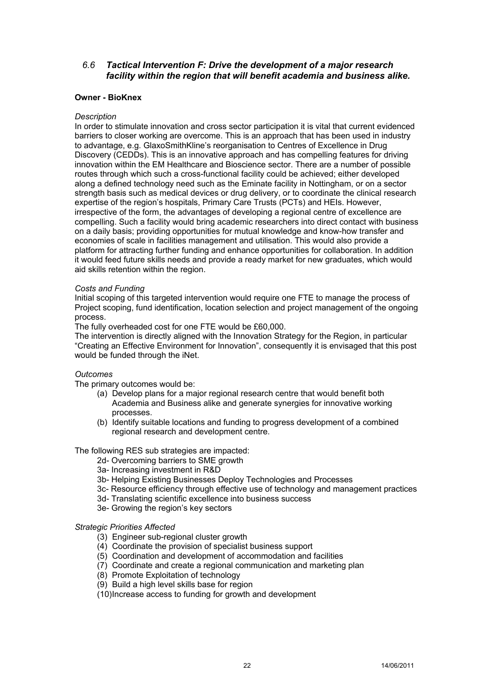# *6.6 Tactical Intervention F: Drive the development of a major research facility within the region that will benefit academia and business alike.*

# **Owner - BioKnex**

# *Description*

In order to stimulate innovation and cross sector participation it is vital that current evidenced barriers to closer working are overcome. This is an approach that has been used in industry to advantage, e.g. GlaxoSmithKline's reorganisation to Centres of Excellence in Drug Discovery (CEDDs). This is an innovative approach and has compelling features for driving innovation within the EM Healthcare and Bioscience sector. There are a number of possible routes through which such a cross-functional facility could be achieved; either developed along a defined technology need such as the Eminate facility in Nottingham, or on a sector strength basis such as medical devices or drug delivery, or to coordinate the clinical research expertise of the region's hospitals, Primary Care Trusts (PCTs) and HEIs. However, irrespective of the form, the advantages of developing a regional centre of excellence are compelling. Such a facility would bring academic researchers into direct contact with business on a daily basis; providing opportunities for mutual knowledge and know-how transfer and economies of scale in facilities management and utilisation. This would also provide a platform for attracting further funding and enhance opportunities for collaboration. In addition it would feed future skills needs and provide a ready market for new graduates, which would aid skills retention within the region.

# *Costs and Funding*

Initial scoping of this targeted intervention would require one FTE to manage the process of Project scoping, fund identification, location selection and project management of the ongoing process.

The fully overheaded cost for one FTE would be £60,000.

The intervention is directly aligned with the Innovation Strategy for the Region, in particular "Creating an Effective Environment for Innovation", consequently it is envisaged that this post would be funded through the iNet.

# *Outcomes*

The primary outcomes would be:

- (a) Develop plans for a major regional research centre that would benefit both Academia and Business alike and generate synergies for innovative working processes.
- (b) Identify suitable locations and funding to progress development of a combined regional research and development centre.

The following RES sub strategies are impacted:

- 2d- Overcoming barriers to SME growth
- 3a- Increasing investment in R&D
- 3b- Helping Existing Businesses Deploy Technologies and Processes
- 3c- Resource efficiency through effective use of technology and management practices
- 3d- Translating scientific excellence into business success
- 3e- Growing the region's key sectors

# *Strategic Priorities Affected*

- (3) Engineer sub-regional cluster growth
- (4) Coordinate the provision of specialist business support
- (5) Coordination and development of accommodation and facilities
- (7) Coordinate and create a regional communication and marketing plan
- (8) Promote Exploitation of technology
- (9) Build a high level skills base for region
- (10) Increase access to funding for growth and development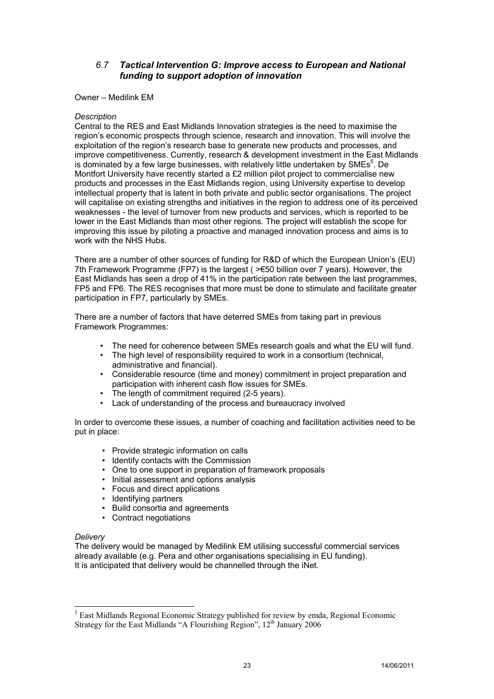# *6.7 Tactical Intervention G: Improve access to European and National funding to support adoption of innovation*

# Owner – Medilink EM

# *Description*

Central to the RES and East Midlands Innovation strategies is the need to maximise the region's economic prospects through science, research and innovation. This will involve the exploitation of the region's research base to generate new products and processes, and improve competitiveness. Currently, research & development investment in the East Midlands is dominated by a few large businesses, with relatively little undertaken by SMEs<sup>5</sup>. De Montfort University have recently started a £2 million pilot project to commercialise new products and processes in the East Midlands region, using University expertise to develop intellectual property that is latent in both private and public sector organisations. The project will capitalise on existing strengths and initiatives in the region to address one of its perceived weaknesses - the level of turnover from new products and services, which is reported to be lower in the East Midlands than most other regions. The project will establish the scope for improving this issue by piloting a proactive and managed innovation process and aims is to work with the NHS Hubs.

There are a number of other sources of funding for R&D of which the European Union's (EU) 7th Framework Programme (FP7) is the largest ( $\geq$  50 billion over 7 years). However, the East Midlands has seen a drop of 41% in the participation rate between the last programmes, FP5 and FP6. The RES recognises that more must be done to stimulate and facilitate greater participation in FP7, particularly by SMEs.

There are a number of factors that have deterred SMEs from taking part in previous Framework Programmes:

- The need for coherence between SMEs research goals and what the EU will fund.
- The high level of responsibility required to work in a consortium (technical, administrative and financial).
- Considerable resource (time and money) commitment in project preparation and participation with inherent cash flow issues for SMEs.
- The length of commitment required (2-5 years).
- Lack of understanding of the process and bureaucracy involved

In order to overcome these issues, a number of coaching and facilitation activities need to be put in place:

- Provide strategic information on calls
- Identify contacts with the Commission
- One to one support in preparation of framework proposals
- Initial assessment and options analysis
- Focus and direct applications
- Identifying partners
- Build consortia and agreements
- Contract negotiations

# *Delivery*

-

The delivery would be managed by Medilink EM utilising successful commercial services already available (e.g. Pera and other organisations specialising in EU funding). It is anticipated that delivery would be channelled through the iNet.

<sup>&</sup>lt;sup>5</sup> East Midlands Regional Economic Strategy published for review by emda, Regional Economic Strategy for the East Midlands "A Flourishing Region",  $12<sup>th</sup>$  January 2006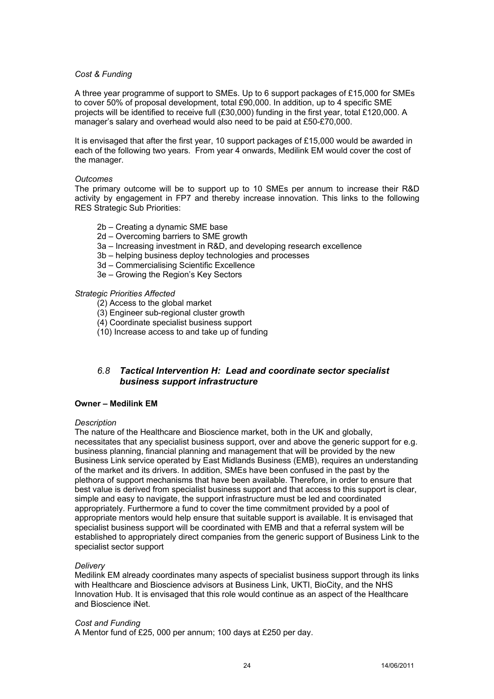# *Cost & Funding*

A three year programme of support to SMEs. Up to 6 support packages of £15,000 for SMEs to cover 50% of proposal development, total £90,000. In addition, up to 4 specific SME projects will be identified to receive full (£30,000) funding in the first year, total £120,000. A manager's salary and overhead would also need to be paid at £50-£70,000.

It is envisaged that after the first year, 10 support packages of £15,000 would be awarded in each of the following two years. From year 4 onwards, Medilink EM would cover the cost of the manager.

# *Outcomes*

The primary outcome will be to support up to 10 SMEs per annum to increase their R&D activity by engagement in FP7 and thereby increase innovation. This links to the following RES Strategic Sub Priorities:

- 2b Creating a dynamic SME base
- 2d Overcoming barriers to SME growth
- 3a Increasing investment in R&D, and developing research excellence
- 3b helping business deploy technologies and processes
- 3d Commercialising Scientific Excellence
- 3e Growing the Region's Key Sectors

# *Strategic Priorities Affected*

- (2) Access to the global market
- (3) Engineer sub-regional cluster growth
- (4) Coordinate specialist business support
- (10) Increase access to and take up of funding

# *6.8 Tactical Intervention H: Lead and coordinate sector specialist business support infrastructure*

# **Owner – Medilink EM**

#### *Description*

The nature of the Healthcare and Bioscience market, both in the UK and globally, necessitates that any specialist business support, over and above the generic support for e.g. business planning, financial planning and management that will be provided by the new Business Link service operated by East Midlands Business (EMB), requires an understanding of the market and its drivers. In addition, SMEs have been confused in the past by the plethora of support mechanisms that have been available. Therefore, in order to ensure that best value is derived from specialist business support and that access to this support is clear, simple and easy to navigate, the support infrastructure must be led and coordinated appropriately. Furthermore a fund to cover the time commitment provided by a pool of appropriate mentors would help ensure that suitable support is available. It is envisaged that specialist business support will be coordinated with EMB and that a referral system will be established to appropriately direct companies from the generic support of Business Link to the specialist sector support

# *Delivery*

Medilink EM already coordinates many aspects of specialist business support through its links with Healthcare and Bioscience advisors at Business Link, UKTI, BioCity, and the NHS Innovation Hub. It is envisaged that this role would continue as an aspect of the Healthcare and Bioscience iNet.

# *Cost and Funding*

A Mentor fund of £25, 000 per annum; 100 days at £250 per day.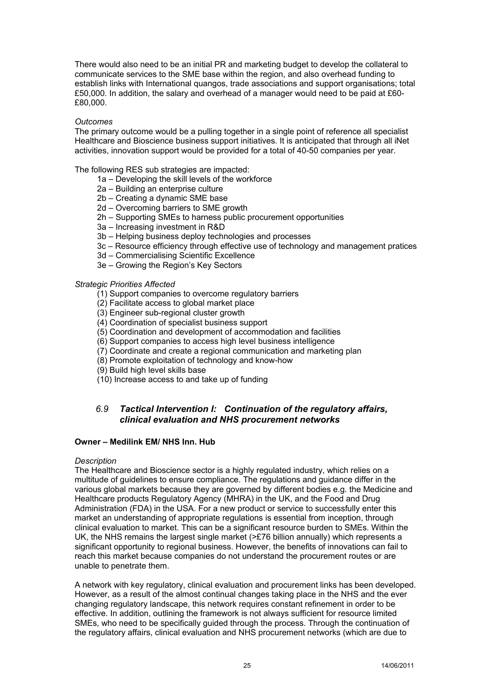There would also need to be an initial PR and marketing budget to develop the collateral to communicate services to the SME base within the region, and also overhead funding to establish links with International quangos, trade associations and support organisations; total £50,000. In addition, the salary and overhead of a manager would need to be paid at £60- £80,000.

# *Outcomes*

The primary outcome would be a pulling together in a single point of reference all specialist Healthcare and Bioscience business support initiatives. It is anticipated that through all iNet activities, innovation support would be provided for a total of 40-50 companies per year.

The following RES sub strategies are impacted:

- 1a Developing the skill levels of the workforce
- 2a Building an enterprise culture
- 2b Creating a dynamic SME base
- 2d Overcoming barriers to SME growth
- 2h Supporting SMEs to harness public procurement opportunities
- 3a Increasing investment in R&D
- 3b Helping business deploy technologies and processes
- 3c Resource efficiency through effective use of technology and management pratices
- 3d Commercialising Scientific Excellence
- 3e Growing the Region's Key Sectors

# *Strategic Priorities Affected*

- (1) Support companies to overcome regulatory barriers
- (2) Facilitate access to global market place
- (3) Engineer sub-regional cluster growth
- (4) Coordination of specialist business support
- (5) Coordination and development of accommodation and facilities
- (6) Support companies to access high level business intelligence
- (7) Coordinate and create a regional communication and marketing plan
- (8) Promote exploitation of technology and know-how
- (9) Build high level skills base
- (10) Increase access to and take up of funding

# *6.9 Tactical Intervention I: Continuation of the regulatory affairs, clinical evaluation and NHS procurement networks*

# **Owner – Medilink EM/ NHS Inn. Hub**

# *Description*

The Healthcare and Bioscience sector is a highly regulated industry, which relies on a multitude of guidelines to ensure compliance. The regulations and guidance differ in the various global markets because they are governed by different bodies e.g. the Medicine and Healthcare products Regulatory Agency (MHRA) in the UK, and the Food and Drug Administration (FDA) in the USA. For a new product or service to successfully enter this market an understanding of appropriate regulations is essential from inception, through clinical evaluation to market. This can be a significant resource burden to SMEs. Within the UK, the NHS remains the largest single market (>£76 billion annually) which represents a significant opportunity to regional business. However, the benefits of innovations can fail to reach this market because companies do not understand the procurement routes or are unable to penetrate them.

A network with key regulatory, clinical evaluation and procurement links has been developed. However, as a result of the almost continual changes taking place in the NHS and the ever changing regulatory landscape, this network requires constant refinement in order to be effective. In addition, outlining the framework is not always sufficient for resource limited SMEs, who need to be specifically guided through the process. Through the continuation of the regulatory affairs, clinical evaluation and NHS procurement networks (which are due to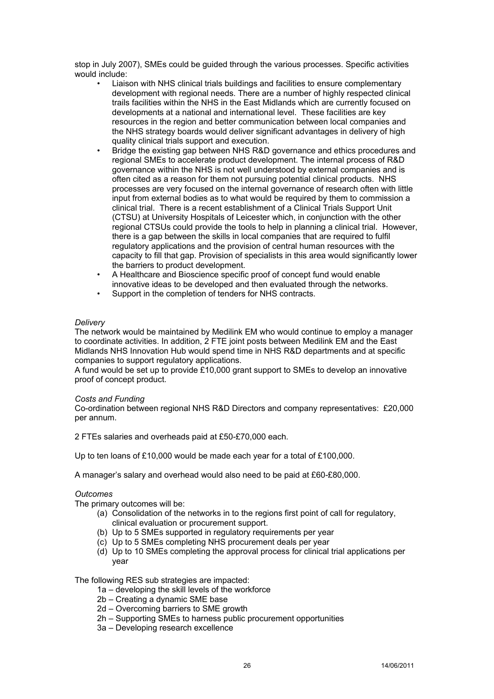stop in July 2007), SMEs could be guided through the various processes. Specific activities would include:

- Liaison with NHS clinical trials buildings and facilities to ensure complementary development with regional needs. There are a number of highly respected clinical trails facilities within the NHS in the East Midlands which are currently focused on developments at a national and international level. These facilities are key resources in the region and better communication between local companies and the NHS strategy boards would deliver significant advantages in delivery of high quality clinical trials support and execution.
- Bridge the existing gap between NHS R&D governance and ethics procedures and regional SMEs to accelerate product development. The internal process of R&D governance within the NHS is not well understood by external companies and is often cited as a reason for them not pursuing potential clinical products. NHS processes are very focused on the internal governance of research often with little input from external bodies as to what would be required by them to commission a clinical trial. There is a recent establishment of a Clinical Trials Support Unit (CTSU) at University Hospitals of Leicester which, in conjunction with the other regional CTSUs could provide the tools to help in planning a clinical trial. However, there is a gap between the skills in local companies that are required to fulfil regulatory applications and the provision of central human resources with the capacity to fill that gap. Provision of specialists in this area would significantly lower the barriers to product development.
- A Healthcare and Bioscience specific proof of concept fund would enable innovative ideas to be developed and then evaluated through the networks.
- Support in the completion of tenders for NHS contracts.

# *Delivery*

The network would be maintained by Medilink EM who would continue to employ a manager to coordinate activities. In addition, 2 FTE joint posts between Medilink EM and the East Midlands NHS Innovation Hub would spend time in NHS R&D departments and at specific companies to support regulatory applications.

A fund would be set up to provide £10,000 grant support to SMEs to develop an innovative proof of concept product.

#### *Costs and Funding*

Co-ordination between regional NHS R&D Directors and company representatives: £20,000 per annum.

2 FTEs salaries and overheads paid at £50-£70,000 each.

Up to ten loans of £10,000 would be made each year for a total of £100,000.

A manager's salary and overhead would also need to be paid at £60-£80,000.

# *Outcomes*

The primary outcomes will be:

- (a) Consolidation of the networks in to the regions first point of call for regulatory, clinical evaluation or procurement support.
- (b) Up to 5 SMEs supported in regulatory requirements per year
- (c) Up to 5 SMEs completing NHS procurement deals per year
- (d) Up to 10 SMEs completing the approval process for clinical trial applications per year

The following RES sub strategies are impacted:

- 1a developing the skill levels of the workforce
- 2b Creating a dynamic SME base
- 2d Overcoming barriers to SME growth
- 2h Supporting SMEs to harness public procurement opportunities
- 3a Developing research excellence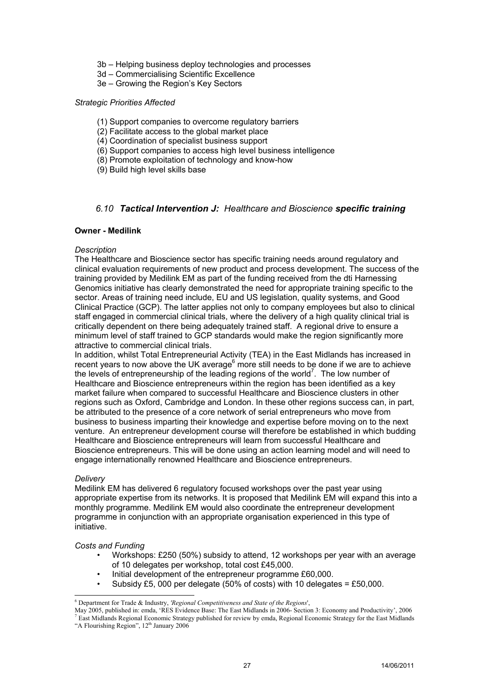- 3b Helping business deploy technologies and processes
- 3d Commercialising Scientific Excellence
- 3e Growing the Region's Key Sectors

# *Strategic Priorities Affected*

- (1) Support companies to overcome regulatory barriers
- (2) Facilitate access to the global market place
- (4) Coordination of specialist business support
- (6) Support companies to access high level business intelligence
- (8) Promote exploitation of technology and know-how
- (9) Build high level skills base

# *6.10 Tactical Intervention J: Healthcare and Bioscience specific training*

# **Owner - Medilink**

# *Description*

The Healthcare and Bioscience sector has specific training needs around regulatory and clinical evaluation requirements of new product and process development. The success of the training provided by Medilink EM as part of the funding received from the dti Harnessing Genomics initiative has clearly demonstrated the need for appropriate training specific to the sector. Areas of training need include, EU and US legislation, quality systems, and Good Clinical Practice (GCP). The latter applies not only to company employees but also to clinical staff engaged in commercial clinical trials, where the delivery of a high quality clinical trial is critically dependent on there being adequately trained staff. A regional drive to ensure a minimum level of staff trained to GCP standards would make the region significantly more attractive to commercial clinical trials.

In addition, whilst Total Entrepreneurial Activity (TEA) in the East Midlands has increased in recent years to now above the UK average<sup>6</sup> more still needs to be done if we are to achieve the levels of entrepreneurship of the leading regions of the world<sup>7</sup>. The low number of Healthcare and Bioscience entrepreneurs within the region has been identified as a key market failure when compared to successful Healthcare and Bioscience clusters in other regions such as Oxford, Cambridge and London. In these other regions success can, in part, be attributed to the presence of a core network of serial entrepreneurs who move from business to business imparting their knowledge and expertise before moving on to the next venture. An entrepreneur development course will therefore be established in which budding Healthcare and Bioscience entrepreneurs will learn from successful Healthcare and Bioscience entrepreneurs. This will be done using an action learning model and will need to engage internationally renowned Healthcare and Bioscience entrepreneurs.

# *Delivery*

l

Medilink EM has delivered 6 regulatory focused workshops over the past year using appropriate expertise from its networks. It is proposed that Medilink EM will expand this into a monthly programme. Medilink EM would also coordinate the entrepreneur development programme in conjunction with an appropriate organisation experienced in this type of initiative.

# *Costs and Funding*

- Workshops: £250 (50%) subsidy to attend, 12 workshops per year with an average of 10 delegates per workshop, total cost £45,000.
- Initial development of the entrepreneur programme £60,000.
- Subsidy £5, 000 per delegate (50% of costs) with 10 delegates = £50,000.

<sup>6</sup> Department for Trade & Industry, *'Regional Competitiveness and State of the Regions*',

May 2005, published in: emda, 'RES Evidence Base: The East Midlands in 2006- Section 3: Economy and Productivity', 2006 7 <sup>7</sup> East Midlands Regional Economic Strategy published for review by emda, Regional Economic Strategy for the East Midlands

<sup>&</sup>quot;A Flourishing Region", 12<sup>th</sup> January 2006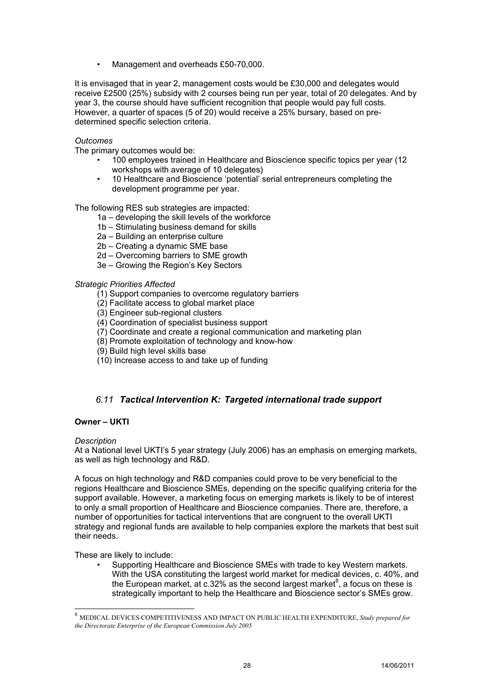• Management and overheads £50-70,000.

It is envisaged that in year 2, management costs would be £30,000 and delegates would receive £2500 (25%) subsidy with 2 courses being run per year, total of 20 delegates. And by year 3, the course should have sufficient recognition that people would pay full costs. However, a quarter of spaces (5 of 20) would receive a 25% bursary, based on predetermined specific selection criteria.

# *Outcomes*

The primary outcomes would be:

- 100 employees trained in Healthcare and Bioscience specific topics per year (12 workshops with average of 10 delegates)
- 10 Healthcare and Bioscience 'potential' serial entrepreneurs completing the development programme per year.

The following RES sub strategies are impacted:

- 1a developing the skill levels of the workforce
- 1b Stimulating business demand for skills
- 2a Building an enterprise culture
- 2b Creating a dynamic SME base
- 2d Overcoming barriers to SME growth
- 3e Growing the Region's Key Sectors

# *Strategic Priorities Affected*

- (1) Support companies to overcome regulatory barriers
- (2) Facilitate access to global market place
- (3) Engineer sub-regional clusters
- (4) Coordination of specialist business support
- (7) Coordinate and create a regional communication and marketing plan
- (8) Promote exploitation of technology and know-how
- (9) Build high level skills base
- (10) Increase access to and take up of funding

# *6.11 Tactical Intervention K: Targeted international trade support*

# **Owner – UKTI**

# *Description*

l

At a National level UKTI's 5 year strategy (July 2006) has an emphasis on emerging markets, as well as high technology and R&D.

A focus on high technology and R&D companies could prove to be very beneficial to the regions Healthcare and Bioscience SMEs, depending on the specific qualifying criteria for the support available. However, a marketing focus on emerging markets is likely to be of interest to only a small proportion of Healthcare and Bioscience companies. There are, therefore, a number of opportunities for tactical interventions that are congruent to the overall UKTI strategy and regional funds are available to help companies explore the markets that best suit their needs.

These are likely to include:

• Supporting Healthcare and Bioscience SMEs with trade to key Western markets. With the USA constituting the largest world market for medical devices, c. 40%, and the European market, at c.32% as the second largest market<sup>8</sup>, a focus on these is strategically important to help the Healthcare and Bioscience sector's SMEs grow.

<sup>8</sup> MEDICAL DEVICES COMPETITIVENESS AND IMPACT ON PUBLIC HEALTH EXPENDITURE, *Study prepared for the Directorate Enterprise of the European Commission July 2005*